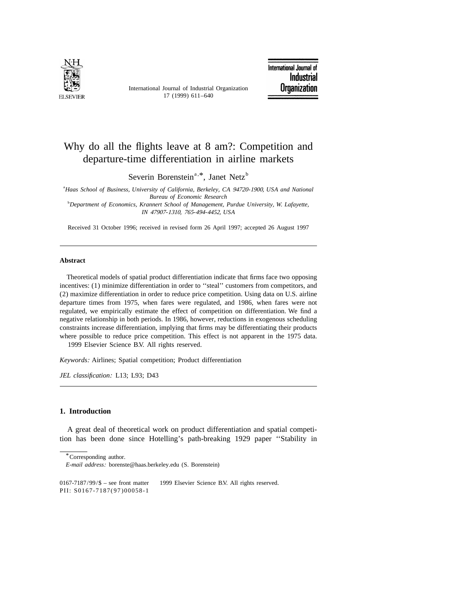

International Journal of Industrial Organization 17 (1999) 611–640

# Why do all the flights leave at 8 am?: Competition and departure-time differentiation in airline markets

Severin Borenstein<sup>a, \*</sup>. Janet Netz<sup>b</sup>

a *Haas School of Business*, *University of California*, *Berkeley*, *CA* <sup>94720</sup>-1900, *USA and National Bureau of Economic Research* b *Department of Economics*, *Krannert School of Management*, *Purdue University*, *W*. *Lafayette*, *IN* <sup>47907</sup>-1310, <sup>765</sup>-494-4452, *USA*

Received 31 October 1996; received in revised form 26 April 1997; accepted 26 August 1997

#### **Abstract**

Theoretical models of spatial product differentiation indicate that firms face two opposing incentives: (1) minimize differentiation in order to ''steal'' customers from competitors, and (2) maximize differentiation in order to reduce price competition. Using data on U.S. airline departure times from 1975, when fares were regulated, and 1986, when fares were not regulated, we empirically estimate the effect of competition on differentiation. We find a negative relationship in both periods. In 1986, however, reductions in exogenous scheduling constraints increase differentiation, implying that firms may be differentiating their products where possible to reduce price competition. This effect is not apparent in the 1975 data. 1999 Elsevier Science B.V. All rights reserved.

*Keywords*: Airlines; Spatial competition; Product differentiation

*JEL classification*: L13; L93; D43

## **1. Introduction**

A great deal of theoretical work on product differentiation and spatial competition has been done since Hotelling's path-breaking 1929 paper ''Stability in

<sup>\*</sup>Corresponding author.

*E*-*mail address*: borenste@haas.berkeley.edu (S. Borenstein)

 $0167-7187/99$ /\$ – see front matter  $\odot$  1999 Elsevier Science B.V. All rights reserved. PII: S0167-7187(97)00058-1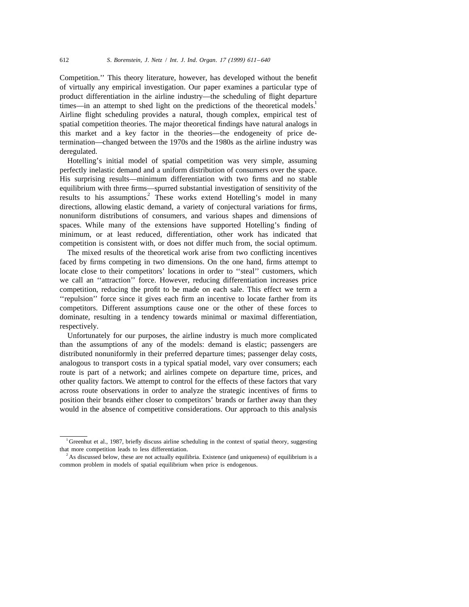Competition.'' This theory literature, however, has developed without the benefit of virtually any empirical investigation. Our paper examines a particular type of product differentiation in the airline industry—the scheduling of flight departure times—in an attempt to shed light on the predictions of the theoretical models.<sup>1</sup> Airline flight scheduling provides a natural, though complex, empirical test of spatial competition theories. The major theoretical findings have natural analogs in this market and a key factor in the theories—the endogeneity of price determination—changed between the 1970s and the 1980s as the airline industry was deregulated.

Hotelling's initial model of spatial competition was very simple, assuming perfectly inelastic demand and a uniform distribution of consumers over the space. His surprising results—minimum differentiation with two firms and no stable equilibrium with three firms—spurred substantial investigation of sensitivity of the results to his assumptions.<sup>2</sup> These works extend Hotelling's model in many directions, allowing elastic demand, a variety of conjectural variations for firms, nonuniform distributions of consumers, and various shapes and dimensions of spaces. While many of the extensions have supported Hotelling's finding of minimum, or at least reduced, differentiation, other work has indicated that competition is consistent with, or does not differ much from, the social optimum.

The mixed results of the theoretical work arise from two conflicting incentives faced by firms competing in two dimensions. On the one hand, firms attempt to locate close to their competitors' locations in order to ''steal'' customers, which we call an ''attraction'' force. However, reducing differentiation increases price competition, reducing the profit to be made on each sale. This effect we term a ''repulsion'' force since it gives each firm an incentive to locate farther from its competitors. Different assumptions cause one or the other of these forces to dominate, resulting in a tendency towards minimal or maximal differentiation, respectively.

Unfortunately for our purposes, the airline industry is much more complicated than the assumptions of any of the models: demand is elastic; passengers are distributed nonuniformly in their preferred departure times; passenger delay costs, analogous to transport costs in a typical spatial model, vary over consumers; each route is part of a network; and airlines compete on departure time, prices, and other quality factors. We attempt to control for the effects of these factors that vary across route observations in order to analyze the strategic incentives of firms to position their brands either closer to competitors' brands or farther away than they would in the absence of competitive considerations. Our approach to this analysis

<sup>&</sup>lt;sup>1</sup> Greenhut et al., 1987, briefly discuss airline scheduling in the context of spatial theory, suggesting that more competition leads to less differentiation.

 $2^2$  As discussed below, these are not actually equilibria. Existence (and uniqueness) of equilibrium is a common problem in models of spatial equilibrium when price is endogenous.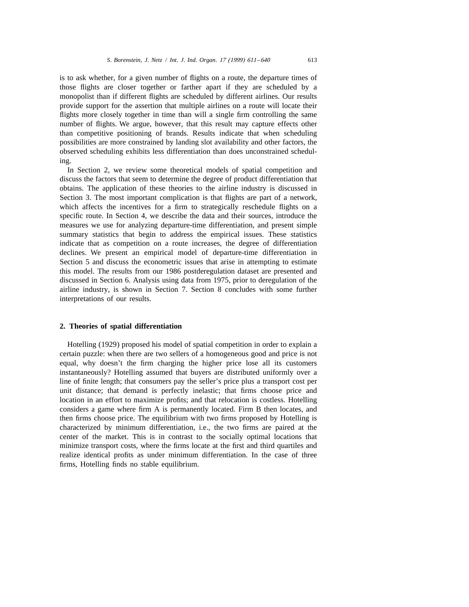is to ask whether, for a given number of flights on a route, the departure times of those flights are closer together or farther apart if they are scheduled by a monopolist than if different flights are scheduled by different airlines. Our results provide support for the assertion that multiple airlines on a route will locate their flights more closely together in time than will a single firm controlling the same number of flights. We argue, however, that this result may capture effects other than competitive positioning of brands. Results indicate that when scheduling possibilities are more constrained by landing slot availability and other factors, the observed scheduling exhibits less differentiation than does unconstrained scheduling.

In Section 2, we review some theoretical models of spatial competition and discuss the factors that seem to determine the degree of product differentiation that obtains. The application of these theories to the airline industry is discussed in Section 3. The most important complication is that flights are part of a network, which affects the incentives for a firm to strategically reschedule flights on a specific route. In Section 4, we describe the data and their sources, introduce the measures we use for analyzing departure-time differentiation, and present simple summary statistics that begin to address the empirical issues. These statistics indicate that as competition on a route increases, the degree of differentiation declines. We present an empirical model of departure-time differentiation in Section 5 and discuss the econometric issues that arise in attempting to estimate this model. The results from our 1986 postderegulation dataset are presented and discussed in Section 6. Analysis using data from 1975, prior to deregulation of the airline industry, is shown in Section 7. Section 8 concludes with some further interpretations of our results.

#### **2. Theories of spatial differentiation**

Hotelling (1929) proposed his model of spatial competition in order to explain a certain puzzle: when there are two sellers of a homogeneous good and price is not equal, why doesn't the firm charging the higher price lose all its customers instantaneously? Hotelling assumed that buyers are distributed uniformly over a line of finite length; that consumers pay the seller's price plus a transport cost per unit distance; that demand is perfectly inelastic; that firms choose price and location in an effort to maximize profits; and that relocation is costless. Hotelling considers a game where firm A is permanently located. Firm B then locates, and then firms choose price. The equilibrium with two firms proposed by Hotelling is characterized by minimum differentiation, i.e., the two firms are paired at the center of the market. This is in contrast to the socially optimal locations that minimize transport costs, where the firms locate at the first and third quartiles and realize identical profits as under minimum differentiation. In the case of three firms, Hotelling finds no stable equilibrium.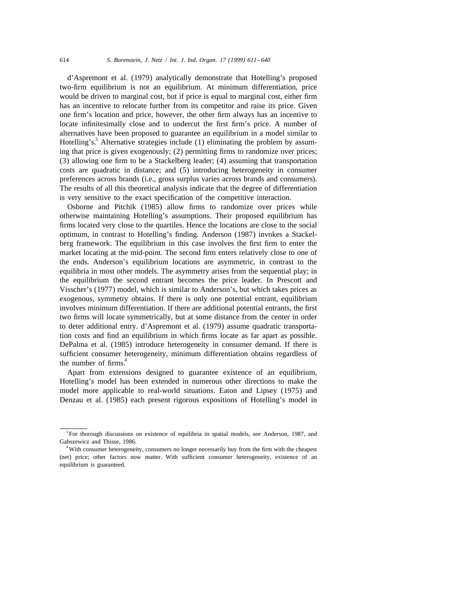d'Aspremont et al. (1979) analytically demonstrate that Hotelling's proposed two-firm equilibrium is not an equilibrium. At minimum differentiation, price would be driven to marginal cost, but if price is equal to marginal cost, either firm has an incentive to relocate further from its competitor and raise its price. Given one firm's location and price, however, the other firm always has an incentive to locate infinitesimally close and to undercut the first firm's price. A number of alternatives have been proposed to guarantee an equilibrium in a model similar to  $Hotelling's<sup>3</sup>$ . Alternative strategies include (1) eliminating the problem by assuming that price is given exogenously; (2) permitting firms to randomize over prices; (3) allowing one firm to be a Stackelberg leader; (4) assuming that transportation costs are quadratic in distance; and (5) introducing heterogeneity in consumer preferences across brands (i.e., gross surplus varies across brands and consumers). The results of all this theoretical analysis indicate that the degree of differentiation is very sensitive to the exact specification of the competitive interaction.

Osborne and Pitchik (1985) allow firms to randomize over prices while otherwise maintaining Hotelling's assumptions. Their proposed equilibrium has firms located very close to the quartiles. Hence the locations are close to the social optimum, in contrast to Hotelling's finding. Anderson (1987) invokes a Stackelberg framework. The equilibrium in this case involves the first firm to enter the market locating at the mid-point. The second firm enters relatively close to one of the ends. Anderson's equilibrium locations are asymmetric, in contrast to the equilibria in most other models. The asymmetry arises from the sequential play; in the equilibrium the second entrant becomes the price leader. In Prescott and Visscher's (1977) model, which is similar to Anderson's, but which takes prices as exogenous, symmetry obtains. If there is only one potential entrant, equilibrium involves minimum differentiation. If there are additional potential entrants, the first two firms will locate symmetrically, but at some distance from the center in order to deter additional entry. d'Aspremont et al. (1979) assume quadratic transportation costs and find an equilibrium in which firms locate as far apart as possible. DePalma et al. (1985) introduce heterogeneity in consumer demand. If there is sufficient consumer heterogeneity, minimum differentiation obtains regardless of the number of firms.<sup>4</sup>

Apart from extensions designed to guarantee existence of an equilibrium, Hotelling's model has been extended in numerous other directions to make the model more applicable to real-world situations. Eaton and Lipsey (1975) and Denzau et al. (1985) each present rigorous expositions of Hotelling's model in

<sup>&</sup>lt;sup>3</sup> For thorough discussions on existence of equilibria in spatial models, see Anderson, 1987, and Gabszewicz and Thisse, 1986.

<sup>&</sup>lt;sup>4</sup> With consumer heterogeneity, consumers no longer necessarily buy from the firm with the cheapest (net) price; other factors now matter. With sufficient consumer heterogeneity, existence of an equilibrium is guaranteed.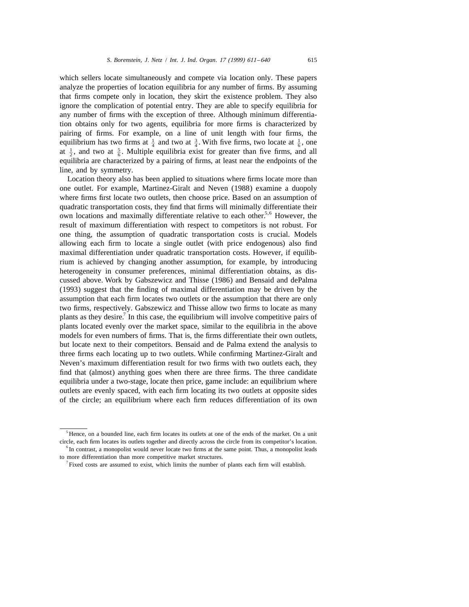which sellers locate simultaneously and compete via location only. These papers analyze the properties of location equilibria for any number of firms. By assuming that firms compete only in location, they skirt the existence problem. They also ignore the complication of potential entry. They are able to specify equilibria for any number of firms with the exception of three. Although minimum differentiation obtains only for two agents, equilibria for more firms is characterized by pairing of firms. For example, on a line of unit length with four firms, the equilibrium has two firms at  $\frac{1}{4}$  and two at  $\frac{3}{4}$ . With five firms, two locate at  $\frac{1}{6}$ , one at  $\frac{1}{2}$ , and two at  $\frac{5}{6}$ . Multiple equilibria exist for greater than five firms, and all equilibria are characterized by a pairing of firms, at least near the endpoints of the line, and by symmetry.

Location theory also has been applied to situations where firms locate more than one outlet. For example, Martinez-Giralt and Neven (1988) examine a duopoly where firms first locate two outlets, then choose price. Based on an assumption of quadratic transportation costs, they find that firms will minimally differentiate their own locations and maximally differentiate relative to each other.<sup>5,6</sup> However, the result of maximum differentiation with respect to competitors is not robust. For one thing, the assumption of quadratic transportation costs is crucial. Models allowing each firm to locate a single outlet (with price endogenous) also find maximal differentiation under quadratic transportation costs. However, if equilibrium is achieved by changing another assumption, for example, by introducing heterogeneity in consumer preferences, minimal differentiation obtains, as discussed above. Work by Gabszewicz and Thisse (1986) and Bensaid and dePalma (1993) suggest that the finding of maximal differentiation may be driven by the assumption that each firm locates two outlets or the assumption that there are only two firms, respectively. Gabszewicz and Thisse allow two firms to locate as many plants as they desire.<sup>7</sup> In this case, the equilibrium will involve competitive pairs of plants located evenly over the market space, similar to the equilibria in the above models for even numbers of firms. That is, the firms differentiate their own outlets, but locate next to their competitors. Bensaid and de Palma extend the analysis to three firms each locating up to two outlets. While confirming Martinez-Giralt and Neven's maximum differentiation result for two firms with two outlets each, they find that (almost) anything goes when there are three firms. The three candidate equilibria under a two-stage, locate then price, game include: an equilibrium where outlets are evenly spaced, with each firm locating its two outlets at opposite sides of the circle; an equilibrium where each firm reduces differentiation of its own

<sup>&</sup>lt;sup>5</sup>Hence, on a bounded line, each firm locates its outlets at one of the ends of the market. On a unit circle, each firm locates its outlets together and directly across the circle from its competitor's location.

<sup>&</sup>lt;sup>6</sup> In contrast, a monopolist would never locate two firms at the same point. Thus, a monopolist leads to more differentiation than more competitive market structures.

<sup>&</sup>lt;sup>7</sup> Fixed costs are assumed to exist, which limits the number of plants each firm will establish.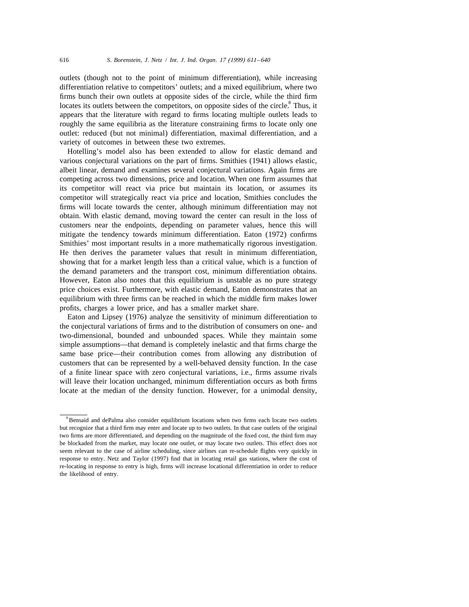outlets (though not to the point of minimum differentiation), while increasing differentiation relative to competitors' outlets; and a mixed equilibrium, where two firms bunch their own outlets at opposite sides of the circle, while the third firm locates its outlets between the competitors, on opposite sides of the circle.<sup>8</sup> Thus, it appears that the literature with regard to firms locating multiple outlets leads to roughly the same equilibria as the literature constraining firms to locate only one outlet: reduced (but not minimal) differentiation, maximal differentiation, and a variety of outcomes in between these two extremes.

Hotelling's model also has been extended to allow for elastic demand and various conjectural variations on the part of firms. Smithies (1941) allows elastic, albeit linear, demand and examines several conjectural variations. Again firms are competing across two dimensions, price and location. When one firm assumes that its competitor will react via price but maintain its location, or assumes its competitor will strategically react via price and location, Smithies concludes the firms will locate towards the center, although minimum differentiation may not obtain. With elastic demand, moving toward the center can result in the loss of customers near the endpoints, depending on parameter values, hence this will mitigate the tendency towards minimum differentiation. Eaton (1972) confirms Smithies' most important results in a more mathematically rigorous investigation. He then derives the parameter values that result in minimum differentiation, showing that for a market length less than a critical value, which is a function of the demand parameters and the transport cost, minimum differentiation obtains. However, Eaton also notes that this equilibrium is unstable as no pure strategy price choices exist. Furthermore, with elastic demand, Eaton demonstrates that an equilibrium with three firms can be reached in which the middle firm makes lower profits, charges a lower price, and has a smaller market share.

Eaton and Lipsey (1976) analyze the sensitivity of minimum differentiation to the conjectural variations of firms and to the distribution of consumers on one- and two-dimensional, bounded and unbounded spaces. While they maintain some simple assumptions—that demand is completely inelastic and that firms charge the same base price—their contribution comes from allowing any distribution of customers that can be represented by a well-behaved density function. In the case of a finite linear space with zero conjectural variations, i.e., firms assume rivals will leave their location unchanged, minimum differentiation occurs as both firms locate at the median of the density function. However, for a unimodal density,

<sup>&</sup>lt;sup>8</sup> Bensaid and dePalma also consider equilibrium locations when two firms each locate two outlets but recognize that a third firm may enter and locate up to two outlets. In that case outlets of the original two firms are more differentiated, and depending on the magnitude of the fixed cost, the third firm may be blockaded from the market, may locate one outlet, or may locate two outlets. This effect does not seem relevant to the case of airline scheduling, since airlines can re-schedule flights very quickly in response to entry. Netz and Taylor (1997) find that in locating retail gas stations, where the cost of re-locating in response to entry is high, firms will increase locational differentiation in order to reduce the likelihood of entry.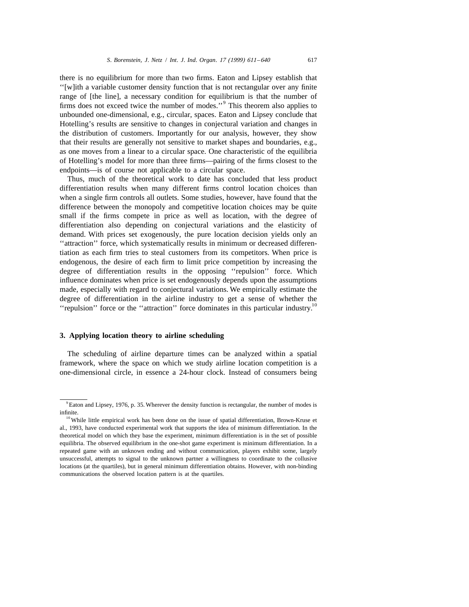there is no equilibrium for more than two firms. Eaton and Lipsey establish that ''[w]ith a variable customer density function that is not rectangular over any finite range of [the line], a necessary condition for equilibrium is that the number of firms does not exceed twice the number of modes."<sup>9</sup> This theorem also applies to unbounded one-dimensional, e.g., circular, spaces. Eaton and Lipsey conclude that Hotelling's results are sensitive to changes in conjectural variation and changes in the distribution of customers. Importantly for our analysis, however, they show that their results are generally not sensitive to market shapes and boundaries, e.g., as one moves from a linear to a circular space. One characteristic of the equilibria of Hotelling's model for more than three firms—pairing of the firms closest to the endpoints—is of course not applicable to a circular space.

Thus, much of the theoretical work to date has concluded that less product differentiation results when many different firms control location choices than when a single firm controls all outlets. Some studies, however, have found that the difference between the monopoly and competitive location choices may be quite small if the firms compete in price as well as location, with the degree of differentiation also depending on conjectural variations and the elasticity of demand. With prices set exogenously, the pure location decision yields only an ''attraction'' force, which systematically results in minimum or decreased differentiation as each firm tries to steal customers from its competitors. When price is endogenous, the desire of each firm to limit price competition by increasing the degree of differentiation results in the opposing ''repulsion'' force. Which influence dominates when price is set endogenously depends upon the assumptions made, especially with regard to conjectural variations. We empirically estimate the degree of differentiation in the airline industry to get a sense of whether the<br>
"repulsion" force or the "attraction" force dominates in this particular industry.<sup>10</sup>

#### **3. Applying location theory to airline scheduling**

The scheduling of airline departure times can be analyzed within a spatial framework, where the space on which we study airline location competition is a one-dimensional circle, in essence a 24-hour clock. Instead of consumers being

<sup>&</sup>lt;sup>9</sup> Eaton and Lipsey, 1976, p. 35. Wherever the density function is rectangular, the number of modes is infinite.

<sup>&</sup>lt;sup>10</sup>While little empirical work has been done on the issue of spatial differentiation, Brown-Kruse et al., 1993, have conducted experimental work that supports the idea of minimum differentiation. In the theoretical model on which they base the experiment, minimum differentiation is in the set of possible equilibria. The observed equilibrium in the one-shot game experiment is minimum differentiation. In a repeated game with an unknown ending and without communication, players exhibit some, largely unsuccessful, attempts to signal to the unknown partner a willingness to coordinate to the collusive locations (at the quartiles), but in general minimum differentiation obtains. However, with non-binding communications the observed location pattern is at the quartiles.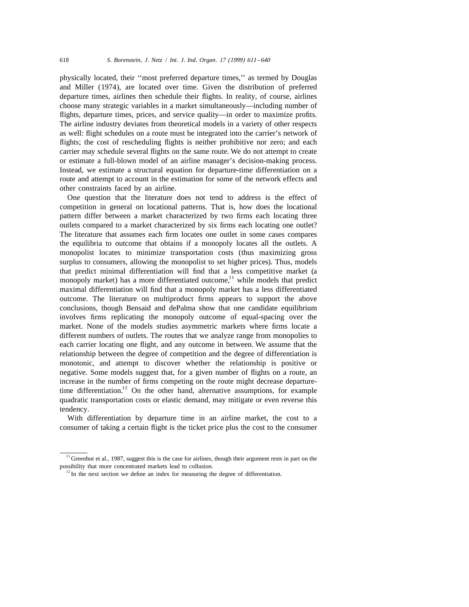physically located, their ''most preferred departure times,'' as termed by Douglas and Miller (1974), are located over time. Given the distribution of preferred departure times, airlines then schedule their flights. In reality, of course, airlines choose many strategic variables in a market simultaneously—including number of flights, departure times, prices, and service quality—in order to maximize profits. The airline industry deviates from theoretical models in a variety of other respects as well: flight schedules on a route must be integrated into the carrier's network of flights; the cost of rescheduling flights is neither prohibitive nor zero; and each carrier may schedule several flights on the same route. We do not attempt to create or estimate a full-blown model of an airline manager's decision-making process. Instead, we estimate a structural equation for departure-time differentiation on a route and attempt to account in the estimation for some of the network effects and other constraints faced by an airline.

One question that the literature does not tend to address is the effect of competition in general on locational patterns. That is, how does the locational pattern differ between a market characterized by two firms each locating three outlets compared to a market characterized by six firms each locating one outlet? The literature that assumes each firm locates one outlet in some cases compares the equilibria to outcome that obtains if a monopoly locates all the outlets. A monopolist locates to minimize transportation costs (thus maximizing gross surplus to consumers, allowing the monopolist to set higher prices). Thus, models that predict minimal differentiation will find that a less competitive market (a monopoly market) has a more differentiated outcome,<sup>11</sup> while models that predict maximal differentiation will find that a monopoly market has a less differentiated outcome. The literature on multiproduct firms appears to support the above conclusions, though Bensaid and dePalma show that one candidate equilibrium involves firms replicating the monopoly outcome of equal-spacing over the market. None of the models studies asymmetric markets where firms locate a different numbers of outlets. The routes that we analyze range from monopolies to each carrier locating one flight, and any outcome in between. We assume that the relationship between the degree of competition and the degree of differentiation is monotonic, and attempt to discover whether the relationship is positive or negative. Some models suggest that, for a given number of flights on a route, an increase in the number of firms competing on the route might decrease departure- time differentiation.<sup>12</sup> On the other hand, alternative assumptions, for example quadratic transportation costs or elastic demand, may mitigate or even reverse this tendency.

With differentiation by departure time in an airline market, the cost to a consumer of taking a certain flight is the ticket price plus the cost to the consumer

 $11$  Greenhut et al., 1987, suggest this is the case for airlines, though their argument rests in part on the possibility that more concentrated markets lead to collusion.

 $12$  In the next section we define an index for measuring the degree of differentiation.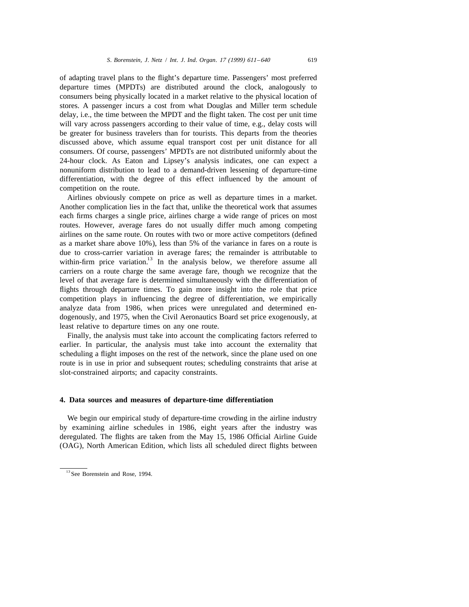of adapting travel plans to the flight's departure time. Passengers' most preferred departure times (MPDTs) are distributed around the clock, analogously to consumers being physically located in a market relative to the physical location of stores. A passenger incurs a cost from what Douglas and Miller term schedule delay, i.e., the time between the MPDT and the flight taken. The cost per unit time will vary across passengers according to their value of time, e.g., delay costs will be greater for business travelers than for tourists. This departs from the theories discussed above, which assume equal transport cost per unit distance for all consumers. Of course, passengers' MPDTs are not distributed uniformly about the 24-hour clock. As Eaton and Lipsey's analysis indicates, one can expect a nonuniform distribution to lead to a demand-driven lessening of departure-time differentiation, with the degree of this effect influenced by the amount of competition on the route.

Airlines obviously compete on price as well as departure times in a market. Another complication lies in the fact that, unlike the theoretical work that assumes each firms charges a single price, airlines charge a wide range of prices on most routes. However, average fares do not usually differ much among competing airlines on the same route. On routes with two or more active competitors (defined as a market share above 10%), less than 5% of the variance in fares on a route is due to cross-carrier variation in average fares; the remainder is attributable to within-firm price variation.<sup>13</sup> In the analysis below, we therefore assume all carriers on a route charge the same average fare, though we recognize that the level of that average fare is determined simultaneously with the differentiation of flights through departure times. To gain more insight into the role that price competition plays in influencing the degree of differentiation, we empirically analyze data from 1986, when prices were unregulated and determined endogenously, and 1975, when the Civil Aeronautics Board set price exogenously, at least relative to departure times on any one route.

Finally, the analysis must take into account the complicating factors referred to earlier. In particular, the analysis must take into account the externality that scheduling a flight imposes on the rest of the network, since the plane used on one route is in use in prior and subsequent routes; scheduling constraints that arise at slot-constrained airports; and capacity constraints.

#### **4. Data sources and measures of departure-time differentiation**

We begin our empirical study of departure-time crowding in the airline industry by examining airline schedules in 1986, eight years after the industry was deregulated. The flights are taken from the May 15, 1986 Official Airline Guide (OAG), North American Edition, which lists all scheduled direct flights between

<sup>&</sup>lt;sup>13</sup> See Borenstein and Rose, 1994.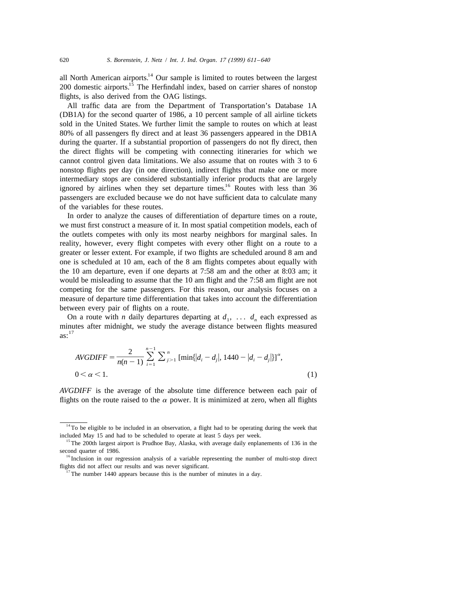all North American airports.<sup>14</sup> Our sample is limited to routes between the largest  $200$  domestic airports.<sup>15</sup> The Herfindahl index, based on carrier shares of nonstop flights, is also derived from the OAG listings.

All traffic data are from the Department of Transportation's Database 1A (DB1A) for the second quarter of 1986, a 10 percent sample of all airline tickets sold in the United States. We further limit the sample to routes on which at least 80% of all passengers fly direct and at least 36 passengers appeared in the DB1A during the quarter. If a substantial proportion of passengers do not fly direct, then the direct flights will be competing with connecting itineraries for which we cannot control given data limitations. We also assume that on routes with 3 to 6 nonstop flights per day (in one direction), indirect flights that make one or more intermediary stops are considered substantially inferior products that are largely ignored by airlines when they set departure times.<sup>16</sup> Routes with less than 36 passengers are excluded because we do not have sufficient data to calculate many of the variables for these routes.

In order to analyze the causes of differentiation of departure times on a route, we must first construct a measure of it. In most spatial competition models, each of the outlets competes with only its most nearby neighbors for marginal sales. In reality, however, every flight competes with every other flight on a route to a greater or lesser extent. For example, if two flights are scheduled around 8 am and one is scheduled at 10 am, each of the 8 am flights competes about equally with the 10 am departure, even if one departs at 7:58 am and the other at 8:03 am; it would be misleading to assume that the 10 am flight and the 7:58 am flight are not competing for the same passengers. For this reason, our analysis focuses on a measure of departure time differentiation that takes into account the differentiation between every pair of flights on a route.

On a route with *n* daily departures departing at  $d_1$ , ...  $d_n$  each expressed as minutes after midnight, we study the average distance between flights measured  $as:$ <sup>17</sup>

$$
AVGDIFF = \frac{2}{n(n-1)} \sum_{i=1}^{n-1} \sum_{j>1}^{n} \left[ \min\{|d_i - d_j|, 1440 - |d_i - d_j|\}\right]^\alpha,
$$
  
0 < \alpha < 1. (1)

*AVGDIFF* is the average of the absolute time difference between each pair of flights on the route raised to the  $\alpha$  power. It is minimized at zero, when all flights

<sup>&</sup>lt;sup>14</sup>To be eligible to be included in an observation, a flight had to be operating during the week that included May 15 and had to be scheduled to operate at least 5 days per week.

<sup>&</sup>lt;sup>15</sup>The 200th largest airport is Prudhoe Bay, Alaska, with average daily enplanements of 136 in the second quarter of 1986.

<sup>&</sup>lt;sup>16</sup> Inclusion in our regression analysis of a variable representing the number of multi-stop direct flights did not affect our results and was never significant.

 $17$ The number 1440 appears because this is the number of minutes in a day.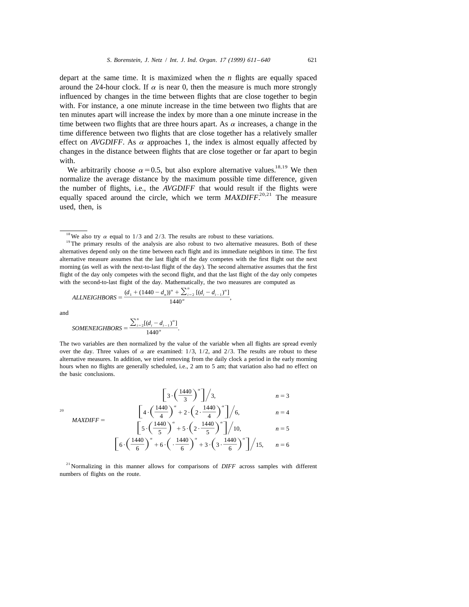depart at the same time. It is maximized when the *n* flights are equally spaced around the 24-hour clock. If  $\alpha$  is near 0, then the measure is much more strongly influenced by changes in the time between flights that are close together to begin with. For instance, a one minute increase in the time between two flights that are ten minutes apart will increase the index by more than a one minute increase in the time between two flights that are three hours apart. As  $\alpha$  increases, a change in the time difference between two flights that are close together has a relatively smaller effect on *AVGDIFF*. As  $\alpha$  approaches 1, the index is almost equally affected by changes in the distance between flights that are close together or far apart to begin with.

We arbitrarily choose  $\alpha = 0.5$ , but also explore alternative values.<sup>18,19</sup> We then normalize the average distance by the maximum possible time difference, given the number of flights, i.e., the *AVGDIFF* that would result if the flights were equally spaced around the circle, which we term  $MAXDIFF$ <sup>20,21</sup> The measure used, then, is

with the second-to-last flight of the day. Mathematically, the two measures are computed as  
ALLNEIGHBORS = 
$$
\frac{(d_1 + (1440 - d_n))^{\alpha} + \sum_{i=2}^{n} [(d_i - d_{i-1})^{\alpha}]}{1440^{\alpha}},
$$

and

SOMENEIGHBORS = 
$$
\frac{\sum_{i=2}^{n} [(d_i - d_{i-1})^{\alpha}]}{1440^{\alpha}}.
$$

The two variables are then normalized by the value of the variable when all flights are spread evenly over the day. Three values of  $\alpha$  are examined:  $1/3$ ,  $1/2$ , and  $2/3$ . The results are robust to these alternative measures. In addition, we tried removing from the daily clock a period in the early morning hours when no flights are generally scheduled, i.e., 2 am to 5 am; that variation also had no effect on the basic conclusions.

$$
MAXDIFF = \left\{\n\begin{bmatrix}\n2 \cdot \left(\frac{1440}{3}\right)^{\alpha} \\
4 \cdot \left(\frac{1440}{4}\right)^{\alpha} + 2 \cdot \left(2 \cdot \frac{1440}{4}\right)^{\alpha}\n\end{bmatrix}\n\middle|\n\begin{aligned}\nn &= 3 \\
6 \cdot \left(\frac{1440}{5}\right)^{\alpha} + 5 \cdot \left(2 \cdot \frac{1440}{5}\right)^{\alpha}\n\end{aligned}\n\right\}\n\right\}, \quad n = 4\n\left[\n5 \cdot \left(\frac{1440}{5}\right)^{\alpha} + 5 \cdot \left(2 \cdot \frac{1440}{5}\right)^{\alpha}\n\right]\n\middle|\n\begin{aligned}\nn &= 5 \\
n &= 5\n\end{aligned}\n\left[\n6 \cdot \left(\frac{1440}{6}\right)^{\alpha} + 6 \cdot \left(\cdot \frac{1440}{6}\right)^{\alpha} + 3 \cdot \left(3 \cdot \frac{1440}{6}\right)^{\alpha}\n\right]\n\middle|\n\begin{aligned}\nn &= 6\n\end{aligned}\n\right\}
$$

<sup>21</sup>Normalizing in this manner allows for comparisons of *DIFF* across samples with different numbers of flights on the route.

<sup>&</sup>lt;sup>18</sup>We also try  $\alpha$  equal to 1/3 and 2/3. The results are robust to these variations.

<sup>&</sup>lt;sup>19</sup>The primary results of the analysis are also robust to two alternative measures. Both of these alternatives depend only on the time between each flight and its immediate neighbors in time. The first alternative measure assumes that the last flight of the day competes with the first flight out the next morning (as well as with the next-to-last flight of the day). The second alternative assumes that the first flight of the day only competes with the second flight, and that the last flight of the day only competes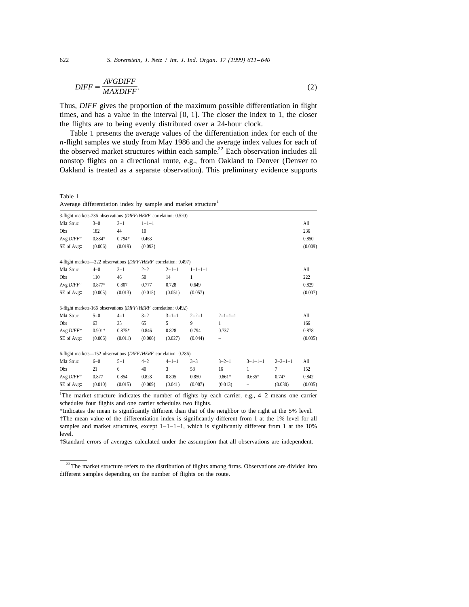622 *S*. *Borenstein*, *J*. *Netz* / *Int*. *J*. *Ind*. *Organ*. <sup>17</sup> (1999) <sup>611</sup> –<sup>640</sup>

$$
DIFF = \frac{AVGDIFF}{MAXDIFF}.
$$
 (2)

Thus, *DIFF* gives the proportion of the maximum possible differentiation in flight times, and has a value in the interval  $[0, 1]$ . The closer the index to 1, the closer the flights are to being evenly distributed over a 24-hour clock.

Table 1 presents the average values of the differentiation index for each of the *n*-flight samples we study from May 1986 and the average index values for each of the observed market structures within each sample.<sup>22</sup> Each observation includes all nonstop flights on a directional route, e.g., from Oakland to Denver (Denver to Oakland is treated as a separate observation). This preliminary evidence supports

Table 1 Average differentiation index by sample and market structure<sup>1</sup>

| 3-flight markets-236 observations (DIFF/HERF correlation: 0.520) |          |          |             |             |                 |                 |                 |                 |         |
|------------------------------------------------------------------|----------|----------|-------------|-------------|-----------------|-----------------|-----------------|-----------------|---------|
| Mkt Struc                                                        | $3 - 0$  | $2 - 1$  | $1 - 1 - 1$ |             |                 |                 |                 |                 | All     |
| Obs                                                              | 182      | 44       | 10          |             |                 |                 |                 |                 | 236     |
| Avg DIFF+                                                        | $0.884*$ | $0.794*$ | 0.463       |             |                 |                 |                 |                 | 0.850   |
| SE of Avg <sub>1</sub>                                           | (0.006)  | (0.019)  | (0.092)     |             |                 |                 |                 |                 | (0.009) |
| 4-flight markets-222 observations (DIFF/HERF correlation: 0.497) |          |          |             |             |                 |                 |                 |                 |         |
| Mkt Struc                                                        | $4 - 0$  | $3 - 1$  | $2 - 2$     | $2 - 1 - 1$ | $1 - 1 - 1 - 1$ |                 |                 |                 | All     |
| Obs                                                              | 110      | 46       | 50          | 14          | 1               |                 |                 |                 | 222     |
| Avg DIFF+                                                        | $0.877*$ | 0.807    | 0.777       | 0.728       | 0.649           |                 |                 |                 | 0.829   |
| SE of Avg <sub>1</sub>                                           | (0.005)  | (0.013)  | (0.015)     | (0.051)     | (0.057)         |                 |                 |                 | (0.007) |
| 5-flight markets-166 observations (DIFF/HERF correlation: 0.492) |          |          |             |             |                 |                 |                 |                 |         |
| Mkt Struc                                                        | $5 - 0$  | $4 - 1$  | $3 - 2$     | $3 - 1 - 1$ | $2 - 2 - 1$     | $2 - 1 - 1 - 1$ |                 |                 | All     |
| Obs                                                              | 63       | 25       | 65          | 5           | $\mathbf{Q}$    | 1               |                 |                 | 166     |
| Avg DIFF+                                                        | $0.901*$ | $0.875*$ | 0.846       | 0.828       | 0.794           | 0.737           |                 |                 | 0.878   |
| SE of Avgt                                                       | (0.006)  | (0.011)  | (0.006)     | (0.027)     | (0.044)         | -               |                 |                 | (0.005) |
| 6-flight markets-152 observations (DIFF/HERF correlation: 0.286) |          |          |             |             |                 |                 |                 |                 |         |
| Mkt Struc                                                        | $6 - 0$  | $5 - 1$  | $4 - 2$     | $4 - 1 - 1$ | $3 - 3$         | $3 - 2 - 1$     | $3 - 1 - 1 - 1$ | $2 - 2 - 1 - 1$ | All     |
| Obs                                                              | 21       | 6        | 40          | 3           | 58              | 16              | 1               | 7               | 152     |
| Avg DIFF+                                                        | 0.877    | 0.854    | 0.828       | 0.805       | 0.850           | $0.861*$        | $0.635*$        | 0.747           | 0.842   |
| SE of Avg <sub>1</sub>                                           | (0.010)  | (0.015)  | (0.009)     | (0.041)     | (0.007)         | (0.013)         |                 | (0.030)         | (0.005) |

<sup>1</sup>The market structure indicates the number of flights by each carrier, e.g., 4-2 means one carrier schedules four flights and one carrier schedules two flights.

\*Indicates the mean is significantly different than that of the neighbor to the right at the 5% level. †The mean value of the differentiation index is significantly different from 1 at the 1% level for all samples and market structures, except  $1-1-1-1$ , which is significantly different from 1 at the 10% level.

‡Standard errors of averages calculated under the assumption that all observations are independent.

<sup>&</sup>lt;sup>22</sup>The market structure refers to the distribution of flights among firms. Observations are divided into different samples depending on the number of flights on the route.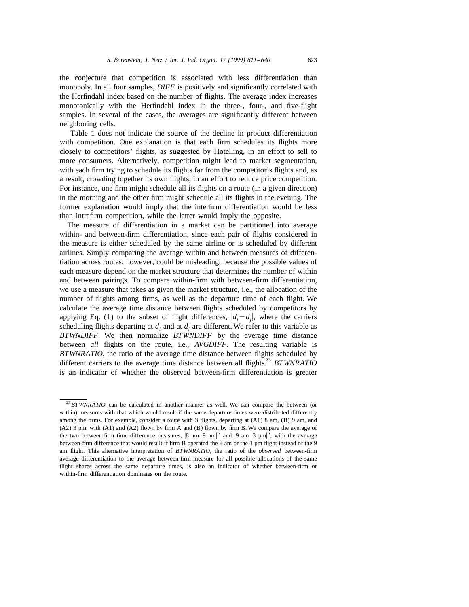the conjecture that competition is associated with less differentiation than monopoly. In all four samples, *DIFF* is positively and significantly correlated with the Herfindahl index based on the number of flights. The average index increases monotonically with the Herfindahl index in the three-, four-, and five-flight samples. In several of the cases, the averages are significantly different between neighboring cells.

Table 1 does not indicate the source of the decline in product differentiation with competition. One explanation is that each firm schedules its flights more closely to competitors' flights, as suggested by Hotelling, in an effort to sell to more consumers. Alternatively, competition might lead to market segmentation, with each firm trying to schedule its flights far from the competitor's flights and, as a result, crowding together its own flights, in an effort to reduce price competition. For instance, one firm might schedule all its flights on a route (in a given direction) in the morning and the other firm might schedule all its flights in the evening. The former explanation would imply that the interfirm differentiation would be less than intrafirm competition, while the latter would imply the opposite.

The measure of differentiation in a market can be partitioned into average within- and between-firm differentiation, since each pair of flights considered in the measure is either scheduled by the same airline or is scheduled by different airlines. Simply comparing the average within and between measures of differentiation across routes, however, could be misleading, because the possible values of each measure depend on the market structure that determines the number of within and between pairings. To compare within-firm with between-firm differentiation, we use a measure that takes as given the market structure, i.e., the allocation of the number of flights among firms, as well as the departure time of each flight. We calculate the average time distance between flights scheduled by competitors by applying Eq. (1) to the subset of flight differences,  $|d_i - d_i|$ , where the carriers scheduling flights departing at  $d_i$  and at  $d_j$  are different. We refer to this variable as *BTWNDIFF*. We then normalize *BTWNDIFF* by the average time distance between *all* flights on the route, i.e., *AVGDIFF*. The resulting variable is *BTWNRATIO*, the ratio of the average time distance between flights scheduled by different carriers to the average time distance between all flights.<sup>23</sup> *BTWNRATIO* is an indicator of whether the observed between-firm differentiation is greater

<sup>&</sup>lt;sup>23</sup>BTWNRATIO can be calculated in another manner as well. We can compare the between (or within) measures with that which would result if the same departure times were distributed differently among the firms. For example, consider a route with 3 flights, departing at (A1) 8 am, (B) 9 am, and (A2) 3 pm, with (A1) and (A2) flown by firm A and (B) flown by firm B. We compare the average of the two between-firm time difference measures,  $|8 \text{ am}-9 \text{ am}|^\alpha$  and  $|9 \text{ am}-3 \text{ pm}|^\alpha$ , with the average between-firm difference that would result if firm B operated the 8 am or the 3 pm flight instead of the 9 am flight. This alternative interpretation of *BTWNRATIO*, the ratio of the *observed* between-firm average differentiation to the average between-firm measure for all possible allocations of the same flight shares across the same departure times, is also an indicator of whether between-firm or within-firm differentiation dominates on the route.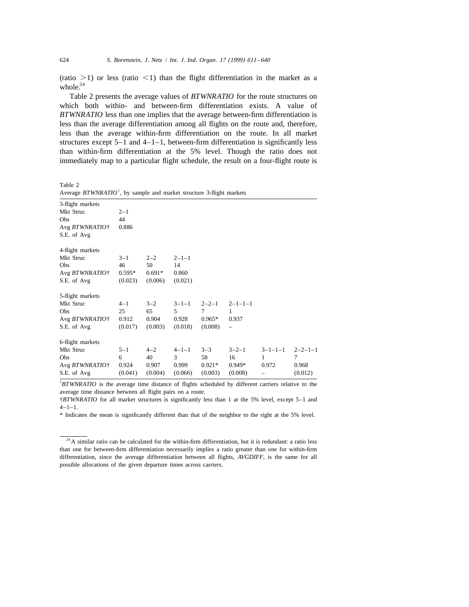(ratio  $>1$ ) or less (ratio <1) than the flight differentiation in the market as a whole.<sup>24</sup>

Table 2 presents the average values of *BTWNRATIO* for the route structures on which both within- and between-firm differentiation exists. A value of *BTWNRATIO* less than one implies that the average between-firm differentiation is less than the average differentiation among all flights on the route and, therefore, less than the average within-firm differentiation on the route. In all market structures except  $5-1$  and  $4-1-1$ , between-firm differentiation is significantly less than within-firm differentiation at the 5% level. Though the ratio does not immediately map to a particular flight schedule, the result on a four-flight route is

|                            | Average BTWNRATIO <sup>1</sup> , by sample and market structure 3-flight markets |          |             |             |                 |                 |                 |
|----------------------------|----------------------------------------------------------------------------------|----------|-------------|-------------|-----------------|-----------------|-----------------|
| 3-flight markets           |                                                                                  |          |             |             |                 |                 |                 |
| Mkt Struc                  | $2 - 1$                                                                          |          |             |             |                 |                 |                 |
| Obs                        | 44                                                                               |          |             |             |                 |                 |                 |
| Avg BTWNRATIO <sup>†</sup> | 0.886                                                                            |          |             |             |                 |                 |                 |
| S.E. of Avg                |                                                                                  |          |             |             |                 |                 |                 |
| 4-flight markets           |                                                                                  |          |             |             |                 |                 |                 |
| Mkt Struc                  | $3 - 1$                                                                          | $2 - 2$  | $2 - 1 - 1$ |             |                 |                 |                 |
| Obs                        | 46                                                                               | 50       | 14          |             |                 |                 |                 |
| Avg BTWNRATIO <sup>†</sup> | $0.595*$                                                                         | $0.691*$ | 0.860       |             |                 |                 |                 |
| S.E. of Avg                | (0.023)                                                                          | (0.006)  | (0.021)     |             |                 |                 |                 |
| 5-flight markets           |                                                                                  |          |             |             |                 |                 |                 |
| Mkt Struc                  | $4 - 1$                                                                          | $3 - 2$  | $3 - 1 - 1$ | $2 - 2 - 1$ | $2 - 1 - 1 - 1$ |                 |                 |
| Obs                        | 25                                                                               | 65       | 5           | 7           | 1               |                 |                 |
| Avg BTWNRATIO†             | 0.912                                                                            | 0.904    | 0.928       | $0.965*$    | 0.937           |                 |                 |
| S.E. of Avg                | (0.017)                                                                          | (0.003)  | (0.018)     | (0.008)     |                 |                 |                 |
| 6-flight markets           |                                                                                  |          |             |             |                 |                 |                 |
| Mkt Struc                  | $5 - 1$                                                                          | $4 - 2$  | $4 - 1 - 1$ | $3 - 3$     | $3 - 2 - 1$     | $3 - 1 - 1 - 1$ | $2 - 2 - 1 - 1$ |
| Obs                        | 6                                                                                | 40       | 3           | 58          | 16              | 1               | 7               |
| Avg BTWNRATIO†             | 0.924                                                                            | 0.907    | 0.999       | $0.921*$    | $0.949*$        | 0.972           | 0.968           |
| S.E. of Avg                | (0.041)                                                                          | (0.004)  | (0.066)     | (0.003)     | (0.008)         |                 | (0.012)         |

<sup>1</sup>BTWNRATIO is the average time distance of flights scheduled by different carriers relative to the average time distance between all flight pairs on a route.

\* Indicates the mean is significantly different than that of the neighbor to the right at the 5% level.

Table 2

<sup>†</sup>*BTWNRATIO* for all market structures is significantly less than 1 at the 5% level, except 5–1 and  $4-1-1$ .

 $24$ A similar ratio can be calculated for the within-firm differentiation, but it is redundant: a ratio less than one for between-firm differentiation necessarily implies a ratio greater than one for within-firm differentiation, since the average differentiation between all flights, *AVGDIFF*, is the same for all possible allocations of the given departure times across carriers.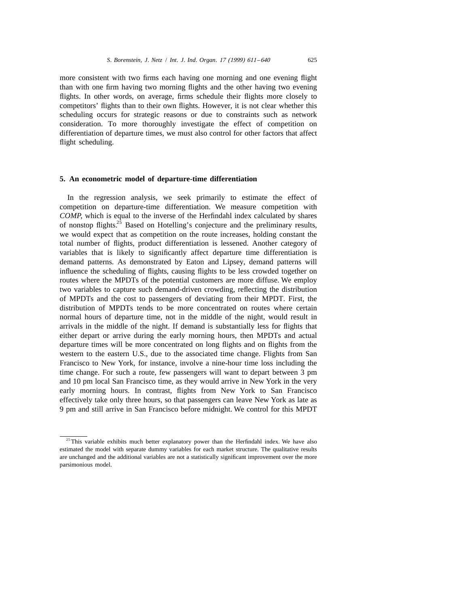more consistent with two firms each having one morning and one evening flight than with one firm having two morning flights and the other having two evening flights. In other words, on average, firms schedule their flights more closely to competitors' flights than to their own flights. However, it is not clear whether this scheduling occurs for strategic reasons or due to constraints such as network consideration. To more thoroughly investigate the effect of competition on differentiation of departure times, we must also control for other factors that affect flight scheduling.

## **5. An econometric model of departure-time differentiation**

In the regression analysis, we seek primarily to estimate the effect of competition on departure-time differentiation. We measure competition with *COMP*, which is equal to the inverse of the Herfindahl index calculated by shares of nonstop flights.<sup>25</sup> Based on Hotelling's conjecture and the preliminary results, we would expect that as competition on the route increases, holding constant the total number of flights, product differentiation is lessened. Another category of variables that is likely to significantly affect departure time differentiation is demand patterns. As demonstrated by Eaton and Lipsey, demand patterns will influence the scheduling of flights, causing flights to be less crowded together on routes where the MPDTs of the potential customers are more diffuse. We employ two variables to capture such demand-driven crowding, reflecting the distribution of MPDTs and the cost to passengers of deviating from their MPDT. First, the distribution of MPDTs tends to be more concentrated on routes where certain normal hours of departure time, not in the middle of the night, would result in arrivals in the middle of the night. If demand is substantially less for flights that either depart or arrive during the early morning hours, then MPDTs and actual departure times will be more concentrated on long flights and on flights from the western to the eastern U.S., due to the associated time change. Flights from San Francisco to New York, for instance, involve a nine-hour time loss including the time change. For such a route, few passengers will want to depart between 3 pm and 10 pm local San Francisco time, as they would arrive in New York in the very early morning hours. In contrast, flights from New York to San Francisco effectively take only three hours, so that passengers can leave New York as late as 9 pm and still arrive in San Francisco before midnight. We control for this MPDT

<sup>&</sup>lt;sup>25</sup>This variable exhibits much better explanatory power than the Herfindahl index. We have also estimated the model with separate dummy variables for each market structure. The qualitative results are unchanged and the additional variables are not a statistically significant improvement over the more parsimonious model.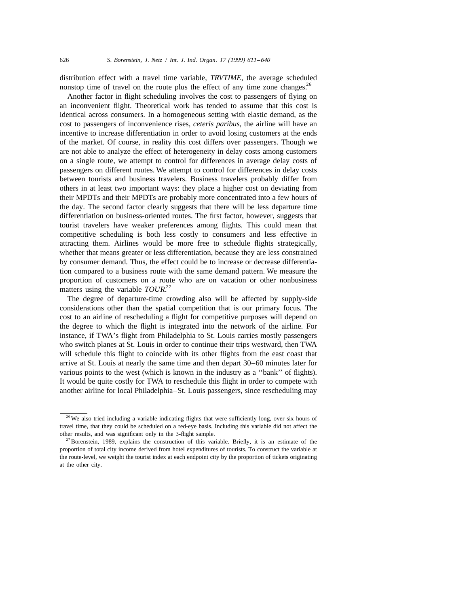distribution effect with a travel time variable, *TRVTIME*, the average scheduled nonstop time of travel on the route plus the effect of any time zone changes.<sup>26</sup>

Another factor in flight scheduling involves the cost to passengers of flying on an inconvenient flight. Theoretical work has tended to assume that this cost is identical across consumers. In a homogeneous setting with elastic demand, as the cost to passengers of inconvenience rises, *ceteris paribus*, the airline will have an incentive to increase differentiation in order to avoid losing customers at the ends of the market. Of course, in reality this cost differs over passengers. Though we are not able to analyze the effect of heterogeneity in delay costs among customers on a single route, we attempt to control for differences in average delay costs of passengers on different routes. We attempt to control for differences in delay costs between tourists and business travelers. Business travelers probably differ from others in at least two important ways: they place a higher cost on deviating from their MPDTs and their MPDTs are probably more concentrated into a few hours of the day. The second factor clearly suggests that there will be less departure time differentiation on business-oriented routes. The first factor, however, suggests that tourist travelers have weaker preferences among flights. This could mean that competitive scheduling is both less costly to consumers and less effective in attracting them. Airlines would be more free to schedule flights strategically, whether that means greater or less differentiation, because they are less constrained by consumer demand. Thus, the effect could be to increase or decrease differentiation compared to a business route with the same demand pattern. We measure the proportion of customers on a route who are on vacation or other nonbusiness matters using the variable *TOUR*.<sup>27</sup>

The degree of departure-time crowding also will be affected by supply-side considerations other than the spatial competition that is our primary focus. The cost to an airline of rescheduling a flight for competitive purposes will depend on the degree to which the flight is integrated into the network of the airline. For instance, if TWA's flight from Philadelphia to St. Louis carries mostly passengers who switch planes at St. Louis in order to continue their trips westward, then TWA will schedule this flight to coincide with its other flights from the east coast that arrive at St. Louis at nearly the same time and then depart 30–60 minutes later for various points to the west (which is known in the industry as a ''bank'' of flights). It would be quite costly for TWA to reschedule this flight in order to compete with another airline for local Philadelphia–St. Louis passengers, since rescheduling may

<sup>&</sup>lt;sup>26</sup>We also tried including a variable indicating flights that were sufficiently long, over six hours of travel time, that they could be scheduled on a red-eye basis. Including this variable did not affect the other results, and was significant only in the 3-flight sample.

<sup>&</sup>lt;sup>27</sup>Borenstein, 1989, explains the construction of this variable. Briefly, it is an estimate of the proportion of total city income derived from hotel expenditures of tourists. To construct the variable at the route-level, we weight the tourist index at each endpoint city by the proportion of tickets originating at the other city.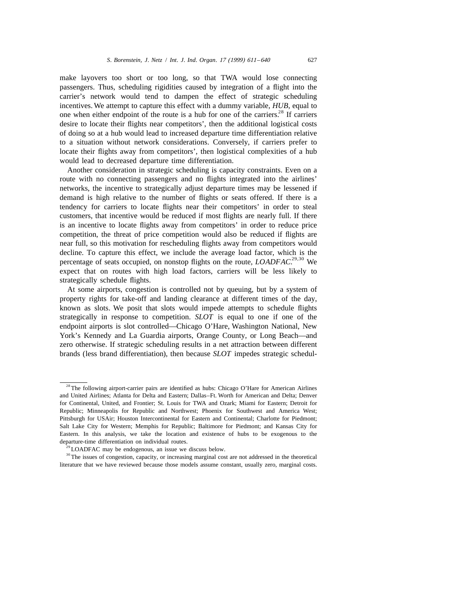make layovers too short or too long, so that TWA would lose connecting passengers. Thus, scheduling rigidities caused by integration of a flight into the carrier's network would tend to dampen the effect of strategic scheduling incentives. We attempt to capture this effect with a dummy variable,  $HUB$ , equal to one when either endpoint of the route is a hub for one of the carriers.<sup>28</sup> If carriers desire to locate their flights near competitors', then the additional logistical costs of doing so at a hub would lead to increased departure time differentiation relative to a situation without network considerations. Conversely, if carriers prefer to locate their flights away from competitors', then logistical complexities of a hub would lead to decreased departure time differentiation.

Another consideration in strategic scheduling is capacity constraints. Even on a route with no connecting passengers and no flights integrated into the airlines' networks, the incentive to strategically adjust departure times may be lessened if demand is high relative to the number of flights or seats offered. If there is a tendency for carriers to locate flights near their competitors' in order to steal customers, that incentive would be reduced if most flights are nearly full. If there is an incentive to locate flights away from competitors' in order to reduce price competition, the threat of price competition would also be reduced if flights are near full, so this motivation for rescheduling flights away from competitors would decline. To capture this effect, we include the average load factor, which is the percentage of seats occupied, on nonstop flights on the route, *LOADFAC*.<sup>29,30</sup> We expect that on routes with high load factors, carriers will be less likely to strategically schedule flights.

At some airports, congestion is controlled not by queuing, but by a system of property rights for take-off and landing clearance at different times of the day, known as slots. We posit that slots would impede attempts to schedule flights strategically in response to competition. *SLOT* is equal to one if one of the endpoint airports is slot controlled—Chicago O'Hare, Washington National, New York's Kennedy and La Guardia airports, Orange County, or Long Beach—and zero otherwise. If strategic scheduling results in a net attraction between different brands (less brand differentiation), then because *SLOT* impedes strategic schedul-

<sup>&</sup>lt;sup>28</sup>The following airport-carrier pairs are identified as hubs: Chicago O'Hare for American Airlines and United Airlines; Atlanta for Delta and Eastern; Dallas–Ft. Worth for American and Delta; Denver for Continental, United, and Frontier; St. Louis for TWA and Ozark; Miami for Eastern; Detroit for Republic; Minneapolis for Republic and Northwest; Phoenix for Southwest and America West; Pittsburgh for USAir; Houston Intercontinental for Eastern and Continental; Charlotte for Piedmont; Salt Lake City for Western; Memphis for Republic; Baltimore for Piedmont; and Kansas City for Eastern. In this analysis, we take the location and existence of hubs to be exogenous to the departure-time differentiation on individual routes.

<sup>29</sup>LOADFAC may be endogenous, an issue we discuss below.

<sup>&</sup>lt;sup>30</sup>The issues of congestion, capacity, or increasing marginal cost are not addressed in the theoretical literature that we have reviewed because those models assume constant, usually zero, marginal costs.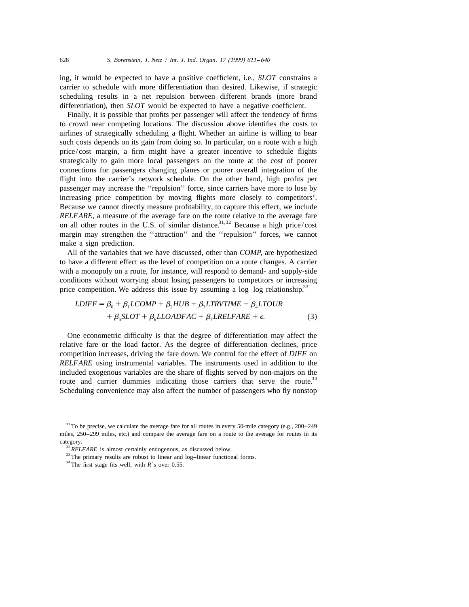ing, it would be expected to have a positive coefficient, i.e., *SLOT* constrains a carrier to schedule with more differentiation than desired. Likewise, if strategic scheduling results in a net repulsion between different brands (more brand differentiation), then *SLOT* would be expected to have a negative coefficient.

Finally, it is possible that profits per passenger will affect the tendency of firms to crowd near competing locations. The discussion above identifies the costs to airlines of strategically scheduling a flight. Whether an airline is willing to bear such costs depends on its gain from doing so. In particular, on a route with a high price/cost margin, a firm might have a greater incentive to schedule flights strategically to gain more local passengers on the route at the cost of poorer connections for passengers changing planes or poorer overall integration of the flight into the carrier's network schedule. On the other hand, high profits per passenger may increase the ''repulsion'' force, since carriers have more to lose by increasing price competition by moving flights more closely to competitors'. Because we cannot directly measure profitability, to capture this effect, we include *RELFARE*, a measure of the average fare on the route relative to the average fare on all other routes in the U.S. of similar distance.<sup>31,32</sup> Because a high price/cost margin may strengthen the "attraction" and the "repulsion" forces, we cannot make a sign prediction.

All of the variables that we have discussed, other than *COMP*, are hypothesized to have a different effect as the level of competition on a route changes. A carrier with a monopoly on a route, for instance, will respond to demand- and supply-side conditions without worrying about losing passengers to competitors or increasing price competition. We address this issue by assuming a log–log relationship.<sup>33</sup>

$$
LDIFF = \beta_0 + \beta_1 LCOMP + \beta_2 HUB + \beta_3 LTRYTIME + \beta_4 LTOUR + \beta_5 SLOT + \beta_6 LLOADFAC + \beta_7 LRELFARE + \epsilon.
$$
 (3)

One econometric difficulty is that the degree of differentiation may affect the relative fare or the load factor. As the degree of differentiation declines, price competition increases, driving the fare down. We control for the effect of *DIFF* on *RELFARE* using instrumental variables. The instruments used in addition to the included exogenous variables are the share of flights served by non-majors on the route and carrier dummies indicating those carriers that serve the route.<sup>34</sup> Scheduling convenience may also affect the number of passengers who fly nonstop

 $31$ To be precise, we calculate the average fare for all routes in every 50-mile category (e.g., 200–249) miles, 250–299 miles, etc.) and compare the average fare on a route to the average for routes in its category.

<sup>&</sup>lt;sup>32</sup>RELFARE is almost certainly endogenous, as discussed below.

<sup>&</sup>lt;sup>33</sup>The primary results are robust to linear and log-linear functional forms.

<sup>&</sup>lt;sup>34</sup> The first stage fits well, with  $R^2$ s over 0.55.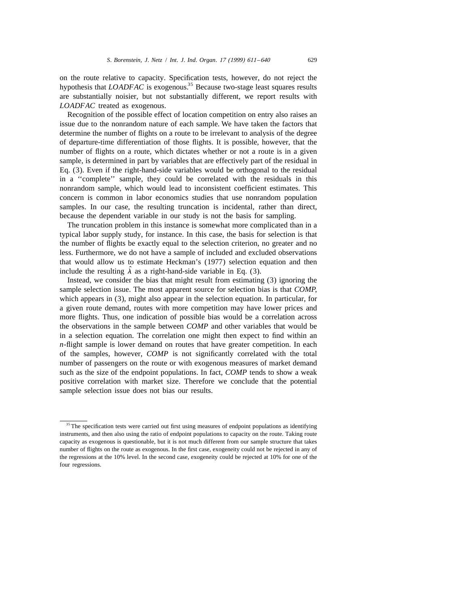on the route relative to capacity. Specification tests, however, do not reject the hypothesis that *LOADFAC* is exogenous.<sup>35</sup> Because two-stage least squares results are substantially noisier, but not substantially different, we report results with *LOADFAC* treated as exogenous.

Recognition of the possible effect of location competition on entry also raises an issue due to the nonrandom nature of each sample. We have taken the factors that determine the number of flights on a route to be irrelevant to analysis of the degree of departure-time differentiation of those flights. It is possible, however, that the number of flights on a route, which dictates whether or not a route is in a given sample, is determined in part by variables that are effectively part of the residual in Eq. (3). Even if the right-hand-side variables would be orthogonal to the residual in a ''complete'' sample, they could be correlated with the residuals in this nonrandom sample, which would lead to inconsistent coefficient estimates. This concern is common in labor economics studies that use nonrandom population samples. In our case, the resulting truncation is incidental, rather than direct, because the dependent variable in our study is not the basis for sampling.

The truncation problem in this instance is somewhat more complicated than in a typical labor supply study, for instance. In this case, the basis for selection is that the number of flights be exactly equal to the selection criterion, no greater and no less. Furthermore, we do not have a sample of included and excluded observations that would allow us to estimate Heckman's (1977) selection equation and then include the resulting  $\hat{\lambda}$  as a right-hand-side variable in Eq. (3).

Instead, we consider the bias that might result from estimating (3) ignoring the sample selection issue. The most apparent source for selection bias is that *COMP*, which appears in (3), might also appear in the selection equation. In particular, for a given route demand, routes with more competition may have lower prices and more flights. Thus, one indication of possible bias would be a correlation across the observations in the sample between *COMP* and other variables that would be in a selection equation. The correlation one might then expect to find within an *n*-flight sample is lower demand on routes that have greater competition. In each of the samples, however, *COMP* is not significantly correlated with the total number of passengers on the route or with exogenous measures of market demand such as the size of the endpoint populations. In fact, *COMP* tends to show a weak positive correlation with market size. Therefore we conclude that the potential sample selection issue does not bias our results.

<sup>&</sup>lt;sup>35</sup>The specification tests were carried out first using measures of endpoint populations as identifying instruments, and then also using the ratio of endpoint populations to capacity on the route. Taking route capacity as exogenous is questionable, but it is not much different from our sample structure that takes number of flights on the route as exogenous. In the first case, exogeneity could not be rejected in any of the regressions at the 10% level. In the second case, exogeneity could be rejected at 10% for one of the four regressions.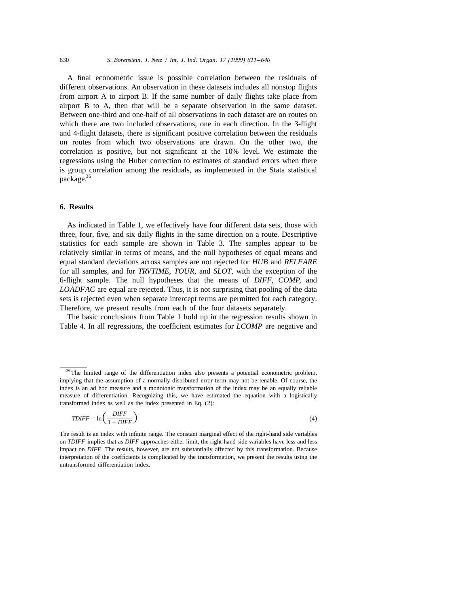A final econometric issue is possible correlation between the residuals of different observations. An observation in these datasets includes all nonstop flights from airport A to airport B. If the same number of daily flights take place from airport B to A, then that will be a separate observation in the same dataset. Between one-third and one-half of all observations in each dataset are on routes on which there are two included observations, one in each direction. In the 3-flight and 4-flight datasets, there is significant positive correlation between the residuals on routes from which two observations are drawn. On the other two, the correlation is positive, but not significant at the 10% level. We estimate the regressions using the Huber correction to estimates of standard errors when there is group correlation among the residuals, as implemented in the Stata statistical package.<sup>36</sup>

## **6. Results**

As indicated in Table 1, we effectively have four different data sets, those with three, four, five, and six daily flights in the same direction on a route. Descriptive statistics for each sample are shown in Table 3. The samples appear to be relatively similar in terms of means, and the null hypotheses of equal means and equal standard deviations across samples are not rejected for *HUB* and *RELFARE* for all samples, and for *TRVTIME*, *TOUR*, and *SLOT*, with the exception of the 6-flight sample. The null hypotheses that the means of *DIFF*, *COMP*, and *LOADFAC* are equal are rejected. Thus, it is not surprising that pooling of the data sets is rejected even when separate intercept terms are permitted for each category. Therefore, we present results from each of the four datasets separately.

The basic conclusions from Table 1 hold up in the regression results shown in Table 4. In all regressions, the coefficient estimates for *LCOMP* are negative and

formed index as well as the index presented in Eq. (2):  
\n
$$
TDIFF = \ln\left(\frac{DIFF}{1 - DIFF}\right)
$$
\n(4)

<sup>&</sup>lt;sup>36</sup>The limited range of the differentiation index also presents a potential econometric problem, implying that the assumption of a normally distributed error term may not be tenable. Of course, the index is an ad hoc measure and a monotonic transformation of the index may be an equally reliable measure of differentiation. Recognizing this, we have estimated the equation with a logistically transformed index as well as the index presented in Eq. (2):

The result is an index with infinite range. The constant marginal effect of the right-hand side variables on *TDIFF* implies that as *DIFF* approaches either limit, the right-hand side variables have less and less impact on *DIFF*. The results, however, are not substantially affected by this transformation. Because interpretation of the coefficients is complicated by the transformation, we present the results using the untransformed differentiation index.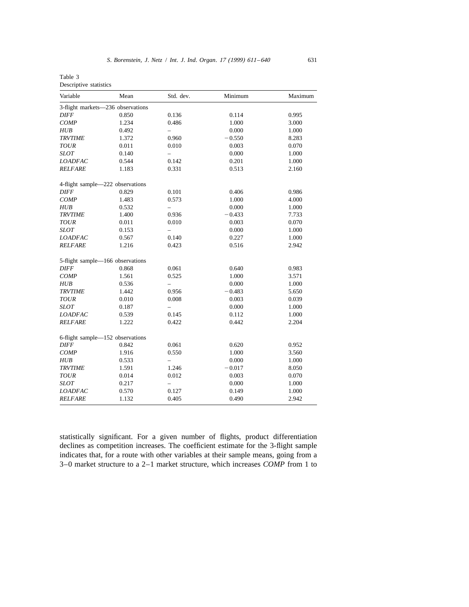| Variable                         | Mean                              | Std. dev.                | Minimum  | Maximum |
|----------------------------------|-----------------------------------|--------------------------|----------|---------|
|                                  | 3-flight markets-236 observations |                          |          |         |
| <b>DIFF</b>                      | 0.850                             | 0.136                    | 0.114    | 0.995   |
| <b>COMP</b>                      | 1.234                             | 0.486                    | 1.000    | 3.000   |
| HUB                              | 0.492                             | $\overline{\phantom{0}}$ | 0.000    | 1.000   |
| <b>TRVTIME</b>                   | 1.372                             | 0.960                    | $-0.550$ | 8.283   |
| <b>TOUR</b>                      | 0.011                             | 0.010                    | 0.003    | 0.070   |
| <b>SLOT</b>                      | 0.140                             | $\overline{\phantom{0}}$ | 0.000    | 1.000   |
| <b>LOADFAC</b>                   | 0.544                             | 0.142                    | 0.201    | 1.000   |
| <b>RELFARE</b>                   | 1.183                             | 0.331                    | 0.513    | 2.160   |
| 4-flight sample-222 observations |                                   |                          |          |         |
| <b>DIFF</b>                      | 0.829                             | 0.101                    | 0.406    | 0.986   |
| <b>COMP</b>                      | 1.483                             | 0.573                    | 1.000    | 4.000   |
| HUB                              | 0.532                             | $\overline{\phantom{0}}$ | 0.000    | 1.000   |
| <b>TRVTIME</b>                   | 1.400                             | 0.936                    | $-0.433$ | 7.733   |
| <b>TOUR</b>                      | 0.011                             | 0.010                    | 0.003    | 0.070   |
| <b>SLOT</b>                      | 0.153                             |                          | 0.000    | 1.000   |
| <b>LOADFAC</b>                   | 0.567                             | 0.140                    | 0.227    | 1.000   |
| <b>RELFARE</b>                   | 1.216                             | 0.423                    | 0.516    | 2.942   |
| 5-flight sample-166 observations |                                   |                          |          |         |
| <b>DIFF</b>                      | 0.868                             | 0.061                    | 0.640    | 0.983   |
| <b>COMP</b>                      | 1.561                             | 0.525                    | 1.000    | 3.571   |
| HUB                              | 0.536                             | $\overline{\phantom{0}}$ | 0.000    | 1.000   |
| <b>TRVTIME</b>                   | 1.442                             | 0.956                    | $-0.483$ | 5.650   |
| <b>TOUR</b>                      | 0.010                             | 0.008                    | 0.003    | 0.039   |
| <b>SLOT</b>                      | 0.187                             | $\overline{\phantom{0}}$ | 0.000    | 1.000   |
| <b>LOADFAC</b>                   | 0.539                             | 0.145                    | 0.112    | 1.000   |
| <b>RELFARE</b>                   | 1.222                             | 0.422                    | 0.442    | 2.204   |
| 6-flight sample—152 observations |                                   |                          |          |         |
| <b>DIFF</b>                      | 0.842                             | 0.061                    | 0.620    | 0.952   |
| <b>COMP</b>                      | 1.916                             | 0.550                    | 1.000    | 3.560   |
| HUB                              | 0.533                             |                          | 0.000    | 1.000   |
| <b>TRVTIME</b>                   | 1.591                             | 1.246                    | $-0.017$ | 8.050   |
| <b>TOUR</b>                      | 0.014                             | 0.012                    | 0.003    | 0.070   |
| <b>SLOT</b>                      | 0.217                             | $\overline{\phantom{0}}$ | 0.000    | 1.000   |
| <b>LOADFAC</b>                   | 0.570                             | 0.127                    | 0.149    | 1.000   |
| <b>RELFARE</b>                   | 1.132                             | 0.405                    | 0.490    | 2.942   |

Table 3 Descriptive statistics

statistically significant. For a given number of flights, product differentiation declines as competition increases. The coefficient estimate for the 3-flight sample indicates that, for a route with other variables at their sample means, going from a 3–0 market structure to a 2–1 market structure, which increases *COMP* from 1 to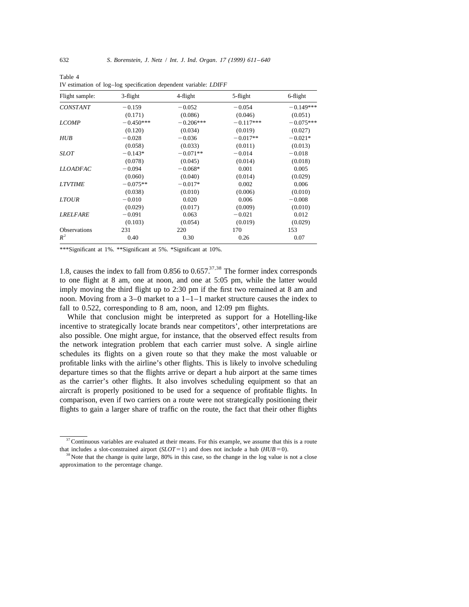| Flight sample:      | 3-flight    | 4-flight    | 5-flight    | 6-flight    |
|---------------------|-------------|-------------|-------------|-------------|
| <b>CONSTANT</b>     | $-0.159$    | $-0.052$    | $-0.054$    | $-0.149***$ |
|                     | (0.171)     | (0.086)     | (0.046)     | (0.051)     |
| <i>LCOMP</i>        | $-0.450***$ | $-0.206***$ | $-0.117***$ | $-0.075***$ |
|                     | (0.120)     | (0.034)     | (0.019)     | (0.027)     |
| <b>HUB</b>          | $-0.028$    | $-0.036$    | $-0.017**$  | $-0.021*$   |
|                     | (0.058)     | (0.033)     | (0.011)     | (0.013)     |
| SLOT                | $-0.143*$   | $-0.071**$  | $-0.014$    | $-0.018$    |
|                     | (0.078)     | (0.045)     | (0.014)     | (0.018)     |
| <b>LLOADFAC</b>     | $-0.094$    | $-0.068*$   | 0.001       | 0.005       |
|                     | (0.060)     | (0.040)     | (0.014)     | (0.029)     |
| <b>LTVTIME</b>      | $-0.075**$  | $-0.017*$   | 0.002       | 0.006       |
|                     | (0.038)     | (0.010)     | (0.006)     | (0.010)     |
| <i>LTOUR</i>        | $-0.010$    | 0.020       | 0.006       | $-0.008$    |
|                     | (0.029)     | (0.017)     | (0.009)     | (0.010)     |
| <b>LRELFARE</b>     | $-0.091$    | 0.063       | $-0.021$    | 0.012       |
|                     | (0.103)     | (0.054)     | (0.019)     | (0.029)     |
| <b>Observations</b> | 231         | 220         | 170         | 153         |
| $R^2$               | 0.40        | 0.30        | 0.26        | 0.07        |

| $1$ ave $\pm$                                                           |  |  |  |
|-------------------------------------------------------------------------|--|--|--|
| IV estimation of log-log specification dependent variable: <i>LDIFF</i> |  |  |  |

\*\*\*Significant at 1%. \*\*Significant at 5%. \*Significant at 10%.

1.8, causes the index to fall from 0.856 to 0.657.<sup>37,38</sup> The former index corresponds to one flight at 8 am, one at noon, and one at 5:05 pm, while the latter would imply moving the third flight up to 2:30 pm if the first two remained at 8 am and noon. Moving from a  $3-0$  market to a  $1-1-1$  market structure causes the index to fall to 0.522, corresponding to 8 am, noon, and 12:09 pm flights.

While that conclusion might be interpreted as support for a Hotelling-like incentive to strategically locate brands near competitors', other interpretations are also possible. One might argue, for instance, that the observed effect results from the network integration problem that each carrier must solve. A single airline schedules its flights on a given route so that they make the most valuable or profitable links with the airline's other flights. This is likely to involve scheduling departure times so that the flights arrive or depart a hub airport at the same times as the carrier's other flights. It also involves scheduling equipment so that an aircraft is properly positioned to be used for a sequence of profitable flights. In comparison, even if two carriers on a route were not strategically positioning their flights to gain a larger share of traffic on the route, the fact that their other flights

Table 4

 $37$  Continuous variables are evaluated at their means. For this example, we assume that this is a route that includes a slot-constrained airport  $(SLOT=1)$  and does not include a hub  $(HUB=0)$ .

 $38$ Note that the change is quite large,  $80\%$  in this case, so the change in the log value is not a close approximation to the percentage change.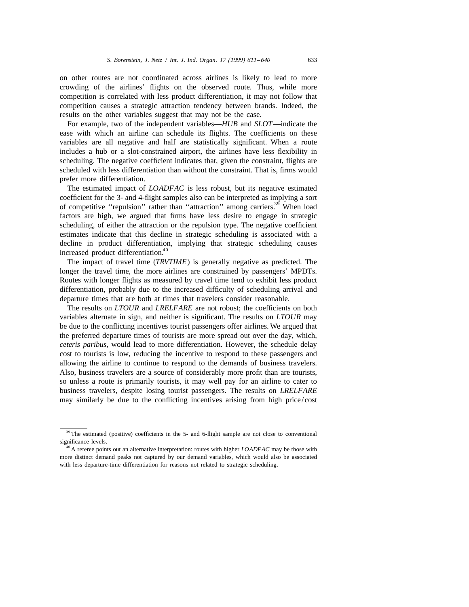on other routes are not coordinated across airlines is likely to lead to more crowding of the airlines' flights on the observed route. Thus, while more competition is correlated with less product differentiation, it may not follow that competition causes a strategic attraction tendency between brands. Indeed, the results on the other variables suggest that may not be the case.

For example, two of the independent variables—*HUB* and *SLOT*—indicate the ease with which an airline can schedule its flights. The coefficients on these variables are all negative and half are statistically significant. When a route includes a hub or a slot-constrained airport, the airlines have less flexibility in scheduling. The negative coefficient indicates that, given the constraint, flights are scheduled with less differentiation than without the constraint. That is, firms would prefer more differentiation.

The estimated impact of *LOADFAC* is less robust, but its negative estimated coefficient for the 3- and 4-flight samples also can be interpreted as implying a sort of competitive "repulsion" rather than "attraction" among carriers.<sup>39</sup> When load factors are high, we argued that firms have less desire to engage in strategic scheduling, of either the attraction or the repulsion type. The negative coefficient estimates indicate that this decline in strategic scheduling is associated with a decline in product differentiation, implying that strategic scheduling causes increased product differentiation.<sup>40</sup>

The impact of travel time (*TRVTIME*) is generally negative as predicted. The longer the travel time, the more airlines are constrained by passengers' MPDTs. Routes with longer flights as measured by travel time tend to exhibit less product differentiation, probably due to the increased difficulty of scheduling arrival and departure times that are both at times that travelers consider reasonable.

The results on *LTOUR* and *LRELFARE* are not robust; the coefficients on both variables alternate in sign, and neither is significant. The results on *LTOUR* may be due to the conflicting incentives tourist passengers offer airlines. We argued that the preferred departure times of tourists are more spread out over the day, which, *ceteris paribus*, would lead to more differentiation. However, the schedule delay cost to tourists is low, reducing the incentive to respond to these passengers and allowing the airline to continue to respond to the demands of business travelers. Also, business travelers are a source of considerably more profit than are tourists, so unless a route is primarily tourists, it may well pay for an airline to cater to business travelers, despite losing tourist passengers. The results on *LRELFARE* may similarly be due to the conflicting incentives arising from high price/cost

<sup>&</sup>lt;sup>39</sup>The estimated (positive) coefficients in the 5- and 6-flight sample are not close to conventional significance levels.

<sup>40</sup>A referee points out an alternative interpretation: routes with higher *LOADFAC* may be those with more distinct demand peaks not captured by our demand variables, which would also be associated with less departure-time differentiation for reasons not related to strategic scheduling.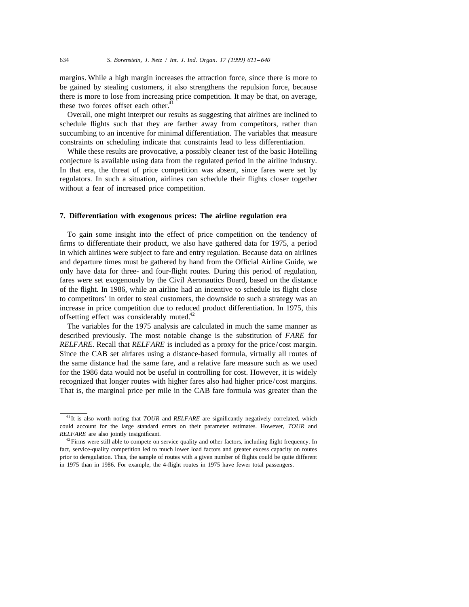margins. While a high margin increases the attraction force, since there is more to be gained by stealing customers, it also strengthens the repulsion force, because there is more to lose from increasing price competition. It may be that, on average, these two forces offset each other. $41$ 

Overall, one might interpret our results as suggesting that airlines are inclined to schedule flights such that they are farther away from competitors, rather than succumbing to an incentive for minimal differentiation. The variables that measure constraints on scheduling indicate that constraints lead to less differentiation.

While these results are provocative, a possibly cleaner test of the basic Hotelling conjecture is available using data from the regulated period in the airline industry. In that era, the threat of price competition was absent, since fares were set by regulators. In such a situation, airlines can schedule their flights closer together without a fear of increased price competition.

## **7. Differentiation with exogenous prices: The airline regulation era**

To gain some insight into the effect of price competition on the tendency of firms to differentiate their product, we also have gathered data for 1975, a period in which airlines were subject to fare and entry regulation. Because data on airlines and departure times must be gathered by hand from the Official Airline Guide, we only have data for three- and four-flight routes. During this period of regulation, fares were set exogenously by the Civil Aeronautics Board, based on the distance of the flight. In 1986, while an airline had an incentive to schedule its flight close to competitors' in order to steal customers, the downside to such a strategy was an increase in price competition due to reduced product differentiation. In 1975, this offsetting effect was considerably muted.<sup>42</sup>

The variables for the 1975 analysis are calculated in much the same manner as described previously. The most notable change is the substitution of *FARE* for *RELFARE*. Recall that *RELFARE* is included as a proxy for the price/cost margin. Since the CAB set airfares using a distance-based formula, virtually all routes of the same distance had the same fare, and a relative fare measure such as we used for the 1986 data would not be useful in controlling for cost. However, it is widely recognized that longer routes with higher fares also had higher price/cost margins. That is, the marginal price per mile in the CAB fare formula was greater than the

<sup>&</sup>lt;sup>41</sup> It is also worth noting that *TOUR* and *RELFARE* are significantly negatively correlated, which could account for the large standard errors on their parameter estimates. However, *TOUR* and *RELFARE* are also jointly insignificant.

<sup>&</sup>lt;sup>42</sup> Firms were still able to compete on service quality and other factors, including flight frequency. In fact, service-quality competition led to much lower load factors and greater excess capacity on routes prior to deregulation. Thus, the sample of routes with a given number of flights could be quite different in 1975 than in 1986. For example, the 4-flight routes in 1975 have fewer total passengers.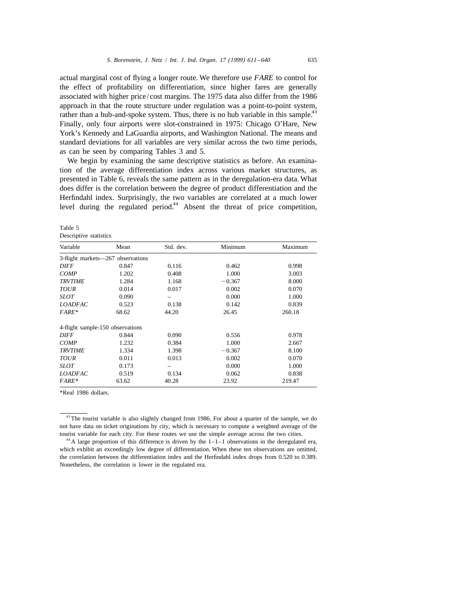actual marginal cost of flying a longer route. We therefore use *FARE* to control for the effect of profitability on differentiation, since higher fares are generally associated with higher price/cost margins. The 1975 data also differ from the 1986 approach in that the route structure under regulation was a point-to-point system, rather than a hub-and-spoke system. Thus, there is no hub variable in this sample.<sup>43</sup> Finally, only four airports were slot-constrained in 1975: Chicago O'Hare, New York's Kennedy and LaGuardia airports, and Washington National. The means and standard deviations for all variables are very similar across the two time periods, as can be seen by comparing Tables 3 and 5.

We begin by examining the same descriptive statistics as before. An examination of the average differentiation index across various market structures, as presented in Table 6, reveals the same pattern as in the deregulation-era data. What does differ is the correlation between the degree of product differentiation and the Herfindahl index. Surprisingly, the two variables are correlated at a much lower level during the regulated period.<sup> $44$ </sup> Absent the threat of price competition,

| Table 5                |  |
|------------------------|--|
| Descriptive statistics |  |

| Variable                          | Mean  | Std. dev. | Minimum  | Maximum |
|-----------------------------------|-------|-----------|----------|---------|
| 3-flight markets-267 observations |       |           |          |         |
| DIFF                              | 0.847 | 0.116     | 0.462    | 0.998   |
| COMP                              | 1.202 | 0.408     | 1.000    | 3.003   |
| <b>TRVTIME</b>                    | 1.284 | 1.168     | $-0.367$ | 8.000   |
| <b>TOUR</b>                       | 0.014 | 0.017     | 0.002    | 0.070   |
| SLOT                              | 0.090 |           | 0.000    | 1.000   |
| <i>LOADFAC</i>                    | 0.523 | 0.138     | 0.142    | 0.839   |
| <i>FARE*</i>                      | 68.62 | 44.20     | 26.45    | 260.18  |
| 4-flight sample-150 observations  |       |           |          |         |
| DIFF                              | 0.844 | 0.090     | 0.556    | 0.978   |
| COMP                              | 1.232 | 0.384     | 1.000    | 2.667   |
| <b>TRVTIME</b>                    | 1.334 | 1.398     | $-0.367$ | 8.100   |
| <b>TOUR</b>                       | 0.011 | 0.013     | 0.002    | 0.070   |
| SLOT                              | 0.173 |           | 0.000    | 1.000   |
| <b>LOADFAC</b>                    | 0.519 | 0.134     | 0.062    | 0.838   |
| FARE*                             | 63.62 | 40.28     | 23.92    | 219.47  |

\*Real 1986 dollars.

<sup>&</sup>lt;sup>43</sup>The tourist variable is also slightly changed from 1986. For about a quarter of the sample, we do not have data on ticket originations by city, which is necessary to compute a weighted average of the tourist variable for each city. For these routes we use the simple average across the two cities.

<sup>&</sup>lt;sup>44</sup>A large proportion of this difference is driven by the  $1-1-1$  observations in the deregulated era, which exhibit an exceedingly low degree of differentiation. When these ten observations are omitted, the correlation between the differentiation index and the Herfindahl index drops from 0.520 to 0.389. Nonetheless, the correlation is lower in the regulated era.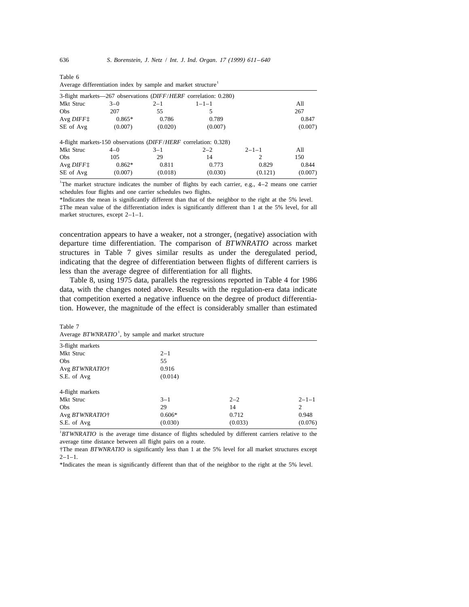|                              |          |         | 3-flight markets—267 observations (DIFF/HERF correlation: 0.280) |                |         |
|------------------------------|----------|---------|------------------------------------------------------------------|----------------|---------|
| Mkt Struc                    | $3-0$    | $2 - 1$ | $1 - 1 - 1$                                                      |                | All     |
| <b>Obs</b>                   | 207      | 55      | 5.                                                               |                | 267     |
| $Avg$ <i>DIFF</i> $\ddagger$ | $0.865*$ | 0.786   | 0.789                                                            |                | 0.847   |
| SE of Avg                    | (0.007)  | (0.020) | (0.007)                                                          |                | (0.007) |
|                              |          |         | 4-flight markets-150 observations (DIFF/HERF correlation: 0.328) |                |         |
| Mkt Struc                    | $4 - 0$  | $3 - 1$ | $2 - 2$                                                          | $2 - 1 - 1$    | All     |
| <b>Obs</b>                   | 105      | 29      | 14                                                               | $\overline{c}$ | 150     |
| Avg $DIFF$ :                 | $0.862*$ | 0.811   | 0.773                                                            | 0.829          | 0.844   |
| SE of Avg                    | (0.007)  | (0.018) | (0.030)                                                          | (0.121)        | (0.007) |
|                              |          |         |                                                                  |                |         |

Average differentiation index by sample and market structure<sup>1</sup>

<sup>1</sup>The market structure indicates the number of flights by each carrier, e.g., 4-2 means one carrier schedules four flights and one carrier schedules two flights.

\*Indicates the mean is significantly different than that of the neighbor to the right at the 5% level. ‡The mean value of the differentiation index is significantly different than 1 at the 5% level, for all market structures, except 2–1–1.

concentration appears to have a weaker, not a stronger, (negative) association with departure time differentiation. The comparison of *BTWNRATIO* across market structures in Table 7 gives similar results as under the deregulated period, indicating that the degree of differentiation between flights of different carriers is less than the average degree of differentiation for all flights.

Table 8, using 1975 data, parallels the regressions reported in Table 4 for 1986 data, with the changes noted above. Results with the regulation-era data indicate that competition exerted a negative influence on the degree of product differentiation. However, the magnitude of the effect is considerably smaller than estimated

Table 7

Average *BTWNRATIO*<sup>1</sup>, by sample and market structure

| 3-flight markets |          |         |             |
|------------------|----------|---------|-------------|
| Mkt Struc        | $2 - 1$  |         |             |
| <b>Obs</b>       | 55       |         |             |
| Avg BTWNRATIO†   | 0.916    |         |             |
| S.E. of Avg      | (0.014)  |         |             |
| 4-flight markets |          |         |             |
| Mkt Struc        | $3 - 1$  | $2 - 2$ | $2 - 1 - 1$ |
| Obs              | 29       | 14      | 2           |
| Avg BTWNRATIO†   | $0.606*$ | 0.712   | 0.948       |
| S.E. of Avg      | (0.030)  | (0.033) | (0.076)     |
|                  |          |         |             |

<sup>1</sup>BTWNRATIO is the average time distance of flights scheduled by different carriers relative to the average time distance between all flight pairs on a route.

†The mean *BTWNRATIO* is significantly less than 1 at the 5% level for all market structures except  $2 - 1 - 1$ .

\*Indicates the mean is significantly different than that of the neighbor to the right at the 5% level.

Table 6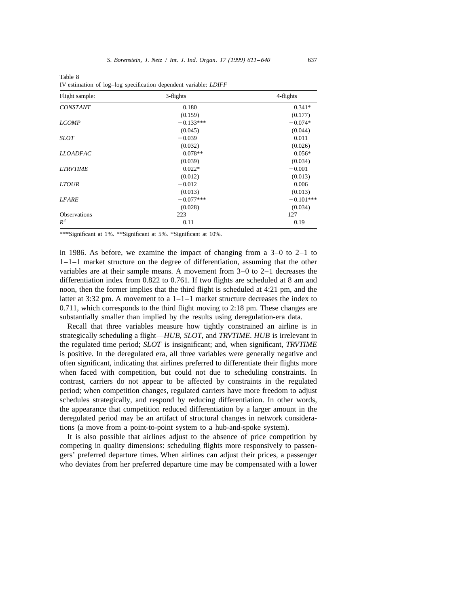| Flight sample:      | 3-flights   | 4-flights   |
|---------------------|-------------|-------------|
| <b>CONSTANT</b>     | 0.180       | $0.341*$    |
|                     | (0.159)     | (0.177)     |
| <b>LCOMP</b>        | $-0.133***$ | $-0.074*$   |
|                     | (0.045)     | (0.044)     |
| <b>SLOT</b>         | $-0.039$    | 0.011       |
|                     | (0.032)     | (0.026)     |
| <b>LLOADFAC</b>     | $0.078**$   | $0.056*$    |
|                     | (0.039)     | (0.034)     |
| <b>LTRVTIME</b>     | $0.022*$    | $-0.001$    |
|                     | (0.012)     | (0.013)     |
| <b>LTOUR</b>        | $-0.012$    | 0.006       |
|                     | (0.013)     | (0.013)     |
| <b>LFARE</b>        | $-0.077***$ | $-0.101***$ |
|                     | (0.028)     | (0.034)     |
| <b>Observations</b> | 223         | 127         |
| $R^2$               | 0.11        | 0.19        |

Table 8 IV estimation of log–log specification dependent variable: *LDIFF*

\*\*\*Significant at 1%. \*\*Significant at 5%. \*Significant at 10%.

in 1986. As before, we examine the impact of changing from a  $3-0$  to  $2-1$  to 1–1–1 market structure on the degree of differentiation, assuming that the other variables are at their sample means. A movement from 3–0 to 2–1 decreases the differentiation index from 0.822 to 0.761. If two flights are scheduled at 8 am and noon, then the former implies that the third flight is scheduled at 4:21 pm, and the latter at 3:32 pm. A movement to a  $1 - 1 - 1$  market structure decreases the index to 0.711, which corresponds to the third flight moving to 2:18 pm. These changes are substantially smaller than implied by the results using deregulation-era data.

Recall that three variables measure how tightly constrained an airline is in strategically scheduling a flight—*HUB*, *SLOT*, and *TRVTIME*. *HUB* is irrelevant in the regulated time period; *SLOT* is insignificant; and, when significant, *TRVTIME* is positive. In the deregulated era, all three variables were generally negative and often significant, indicating that airlines preferred to differentiate their flights more when faced with competition, but could not due to scheduling constraints. In contrast, carriers do not appear to be affected by constraints in the regulated period; when competition changes, regulated carriers have more freedom to adjust schedules strategically, and respond by reducing differentiation. In other words, the appearance that competition reduced differentiation by a larger amount in the deregulated period may be an artifact of structural changes in network considerations (a move from a point-to-point system to a hub-and-spoke system).

It is also possible that airlines adjust to the absence of price competition by competing in quality dimensions: scheduling flights more responsively to passengers' preferred departure times. When airlines can adjust their prices, a passenger who deviates from her preferred departure time may be compensated with a lower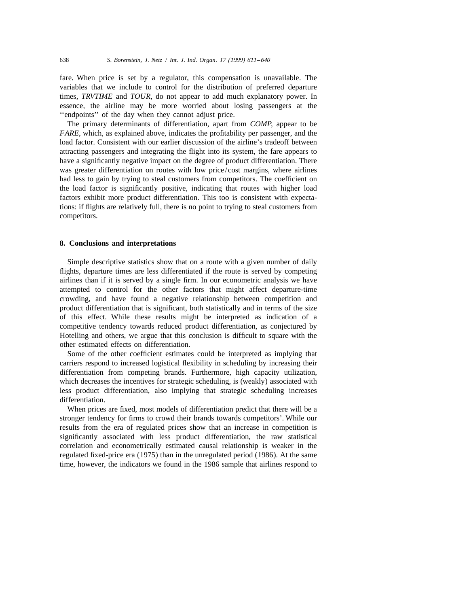fare. When price is set by a regulator, this compensation is unavailable. The variables that we include to control for the distribution of preferred departure times, *TRVTIME* and *TOUR*, do not appear to add much explanatory power. In essence, the airline may be more worried about losing passengers at the ''endpoints'' of the day when they cannot adjust price.

The primary determinants of differentiation, apart from *COMP*, appear to be *FARE*, which, as explained above, indicates the profitability per passenger, and the load factor. Consistent with our earlier discussion of the airline's tradeoff between attracting passengers and integrating the flight into its system, the fare appears to have a significantly negative impact on the degree of product differentiation. There was greater differentiation on routes with low price/cost margins, where airlines had less to gain by trying to steal customers from competitors. The coefficient on the load factor is significantly positive, indicating that routes with higher load factors exhibit more product differentiation. This too is consistent with expectations: if flights are relatively full, there is no point to trying to steal customers from competitors.

## **8. Conclusions and interpretations**

Simple descriptive statistics show that on a route with a given number of daily flights, departure times are less differentiated if the route is served by competing airlines than if it is served by a single firm. In our econometric analysis we have attempted to control for the other factors that might affect departure-time crowding, and have found a negative relationship between competition and product differentiation that is significant, both statistically and in terms of the size of this effect. While these results might be interpreted as indication of a competitive tendency towards reduced product differentiation, as conjectured by Hotelling and others, we argue that this conclusion is difficult to square with the other estimated effects on differentiation.

Some of the other coefficient estimates could be interpreted as implying that carriers respond to increased logistical flexibility in scheduling by increasing their differentiation from competing brands. Furthermore, high capacity utilization, which decreases the incentives for strategic scheduling, is (weakly) associated with less product differentiation, also implying that strategic scheduling increases differentiation.

When prices are fixed, most models of differentiation predict that there will be a stronger tendency for firms to crowd their brands towards competitors'. While our results from the era of regulated prices show that an increase in competition is significantly associated with less product differentiation, the raw statistical correlation and econometrically estimated causal relationship is weaker in the regulated fixed-price era (1975) than in the unregulated period (1986). At the same time, however, the indicators we found in the 1986 sample that airlines respond to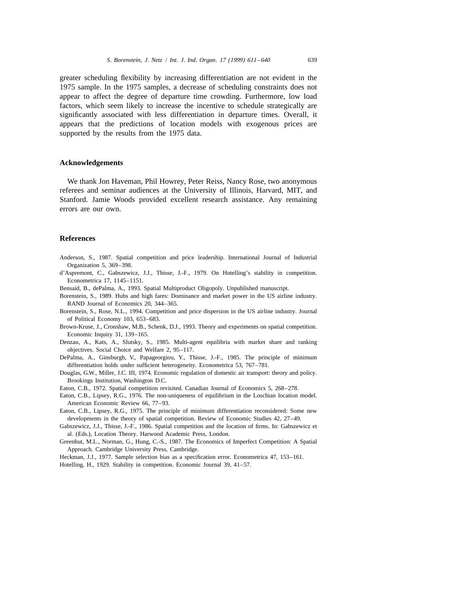greater scheduling flexibility by increasing differentiation are not evident in the 1975 sample. In the 1975 samples, a decrease of scheduling constraints does not appear to affect the degree of departure time crowding. Furthermore, low load factors, which seem likely to increase the incentive to schedule strategically are significantly associated with less differentiation in departure times. Overall, it appears that the predictions of location models with exogenous prices are supported by the results from the 1975 data.

### **Acknowledgements**

We thank Jon Haveman, Phil Howrey, Peter Reiss, Nancy Rose, two anonymous referees and seminar audiences at the University of Illinois, Harvard, MIT, and Stanford. Jamie Woods provided excellent research assistance. Any remaining errors are our own.

#### **References**

- Anderson, S., 1987. Spatial competition and price leadership. International Journal of Industrial Organization 5, 369–398.
- d'Aspremont, C., Gabszewicz, J.J., Thisse, J.-F., 1979. On Hotelling's stability in competition. Econometrica 17, 1145–1151.
- Bensaid, B., dePalma, A., 1993. Spatial Multiproduct Oligopoly. Unpublished manuscript.
- Borenstein, S., 1989. Hubs and high fares: Dominance and market power in the US airline industry. RAND Journal of Economics 20, 344–365.
- Borenstein, S., Rose, N.L., 1994. Competition and price dispersion in the US airline industry. Journal of Political Economy 103, 653–683.
- Brown-Kruse, J., Cronshaw, M.B., Schenk, D.J., 1993. Theory and experiments on spatial competition. Economic Inquiry 31, 139–165.
- Denzau, A., Kats, A., Slutsky, S., 1985. Multi-agent equilibria with market share and ranking objectives. Social Choice and Welfare 2, 95–117.
- DePalma, A., Ginsburgh, V., Papageorgiou, Y., Thisse, J.-F., 1985. The principle of minimum differentiation holds under sufficient heterogeneity. Econometrica 53, 767–781.
- Douglas, G.W., Miller, J.C. III, 1974. Economic regulation of domestic air transport: theory and policy. Brookings Institution, Washington D.C.
- Eaton, C.B., 1972. Spatial competition revisited. Canadian Journal of Economics 5, 268–278.
- Eaton, C.B., Lipsey, R.G., 1976. The non-uniqueness of equilibrium in the Loschian location model. American Economic Review 66, 77–93.
- Eaton, C.B., Lipsey, R.G., 1975. The principle of minimum differentiation reconsidered: Some new developments in the theory of spatial competition. Review of Economic Studies 42, 27–49.
- Gabszewicz, J.J., Thisse, J.-F., 1986. Spatial competition and the location of firms. In: Gabszewicz et al. (Eds.), Location Theory. Harwood Academic Press, London.
- Greenhut, M.L., Norman, G., Hung, C.-S., 1987. The Economics of Imperfect Competition: A Spatial Approach. Cambridge University Press, Cambridge.

Heckman, J.J., 1977. Sample selection bias as a specification error. Econometrica 47, 153–161.

Hotelling, H., 1929. Stability in competition. Economic Journal 39, 41–57.